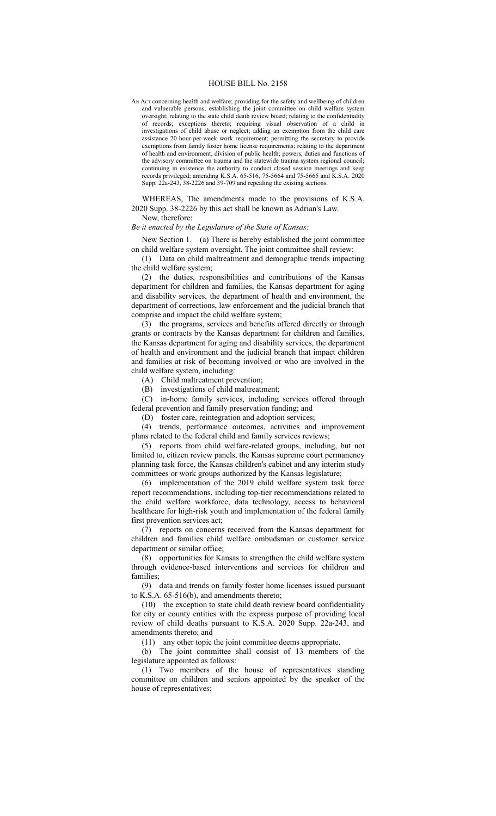#### HOUSE BILL No. 2158

AN ACT concerning health and welfare; providing for the safety and wellbeing of children and vulnerable persons; establishing the joint committee on child welfare system oversight; relating to the state child death review board; relating to the confidentiality of records; exceptions thereto; requiring visual observation of a child in investigations of child abuse or neglect; adding an exemption from the child care assistance 20-hour-per-week work requirement; permitting the secretary to provide exemptions from family foster home license requirements; relating to the department of health and environment, division of public health; powers, duties and functions of the advisory committee on trauma and the statewide trauma system regional council; continuing in existence the authority to conduct closed session meetings and keep records privileged; amending K.S.A. 65-516, 75-5664 and 75-5665 and K.S.A. 2020 Supp. 22a-243, 38-2226 and 39-709 and repealing the existing sections.

WHEREAS, The amendments made to the provisions of K.S.A. 2020 Supp. 38-2226 by this act shall be known as Adrian's Law.

Now, therefore:

## *Be it enacted by the Legislature of the State of Kansas:*

New Section 1. (a) There is hereby established the joint committee on child welfare system oversight. The joint committee shall review:

(1) Data on child maltreatment and demographic trends impacting the child welfare system;

(2) the duties, responsibilities and contributions of the Kansas department for children and families, the Kansas department for aging and disability services, the department of health and environment, the department of corrections, law enforcement and the judicial branch that comprise and impact the child welfare system;

(3) the programs, services and benefits offered directly or through grants or contracts by the Kansas department for children and families, the Kansas department for aging and disability services, the department of health and environment and the judicial branch that impact children and families at risk of becoming involved or who are involved in the child welfare system, including:

(A) Child maltreatment prevention;

(B) investigations of child maltreatment;

(C) in-home family services, including services offered through federal prevention and family preservation funding; and

(D) foster care, reintegration and adoption services;

(4) trends, performance outcomes, activities and improvement plans related to the federal child and family services reviews;

(5) reports from child welfare-related groups, including, but not limited to, citizen review panels, the Kansas supreme court permanency planning task force, the Kansas children's cabinet and any interim study committees or work groups authorized by the Kansas legislature;

(6) implementation of the 2019 child welfare system task force report recommendations, including top-tier recommendations related to the child welfare workforce, data technology, access to behavioral healthcare for high-risk youth and implementation of the federal family first prevention services act;

(7) reports on concerns received from the Kansas department for children and families child welfare ombudsman or customer service department or similar office;

(8) opportunities for Kansas to strengthen the child welfare system through evidence-based interventions and services for children and families;

(9) data and trends on family foster home licenses issued pursuant to K.S.A. 65-516(b), and amendments thereto;

(10) the exception to state child death review board confidentiality for city or county entities with the express purpose of providing local review of child deaths pursuant to K.S.A. 2020 Supp. 22a-243, and amendments thereto; and

(11) any other topic the joint committee deems appropriate.

(b) The joint committee shall consist of 13 members of the legislature appointed as follows:

(1) Two members of the house of representatives standing committee on children and seniors appointed by the speaker of the house of representatives;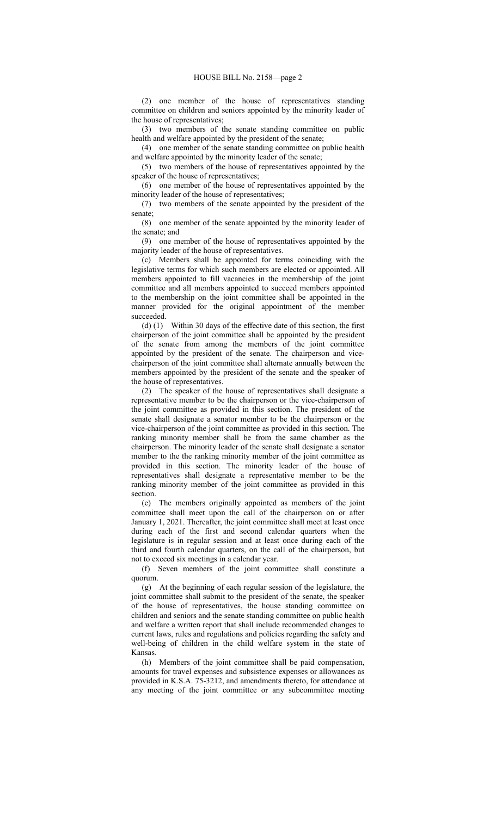(2) one member of the house of representatives standing committee on children and seniors appointed by the minority leader of the house of representatives;

(3) two members of the senate standing committee on public health and welfare appointed by the president of the senate;

(4) one member of the senate standing committee on public health and welfare appointed by the minority leader of the senate;

(5) two members of the house of representatives appointed by the speaker of the house of representatives;

(6) one member of the house of representatives appointed by the minority leader of the house of representatives;

(7) two members of the senate appointed by the president of the senate;

(8) one member of the senate appointed by the minority leader of the senate; and

(9) one member of the house of representatives appointed by the majority leader of the house of representatives.

(c) Members shall be appointed for terms coinciding with the legislative terms for which such members are elected or appointed. All members appointed to fill vacancies in the membership of the joint committee and all members appointed to succeed members appointed to the membership on the joint committee shall be appointed in the manner provided for the original appointment of the member succeeded.

(d) (1) Within 30 days of the effective date of this section, the first chairperson of the joint committee shall be appointed by the president of the senate from among the members of the joint committee appointed by the president of the senate. The chairperson and vicechairperson of the joint committee shall alternate annually between the members appointed by the president of the senate and the speaker of the house of representatives.

(2) The speaker of the house of representatives shall designate a representative member to be the chairperson or the vice-chairperson of the joint committee as provided in this section. The president of the senate shall designate a senator member to be the chairperson or the vice-chairperson of the joint committee as provided in this section. The ranking minority member shall be from the same chamber as the chairperson. The minority leader of the senate shall designate a senator member to the the ranking minority member of the joint committee as provided in this section. The minority leader of the house of representatives shall designate a representative member to be the ranking minority member of the joint committee as provided in this section.

(e) The members originally appointed as members of the joint committee shall meet upon the call of the chairperson on or after January 1, 2021. Thereafter, the joint committee shall meet at least once during each of the first and second calendar quarters when the legislature is in regular session and at least once during each of the third and fourth calendar quarters, on the call of the chairperson, but not to exceed six meetings in a calendar year.

(f) Seven members of the joint committee shall constitute a quorum.

(g) At the beginning of each regular session of the legislature, the joint committee shall submit to the president of the senate, the speaker of the house of representatives, the house standing committee on children and seniors and the senate standing committee on public health and welfare a written report that shall include recommended changes to current laws, rules and regulations and policies regarding the safety and well-being of children in the child welfare system in the state of Kansas.

(h) Members of the joint committee shall be paid compensation, amounts for travel expenses and subsistence expenses or allowances as provided in K.S.A. 75-3212, and amendments thereto, for attendance at any meeting of the joint committee or any subcommittee meeting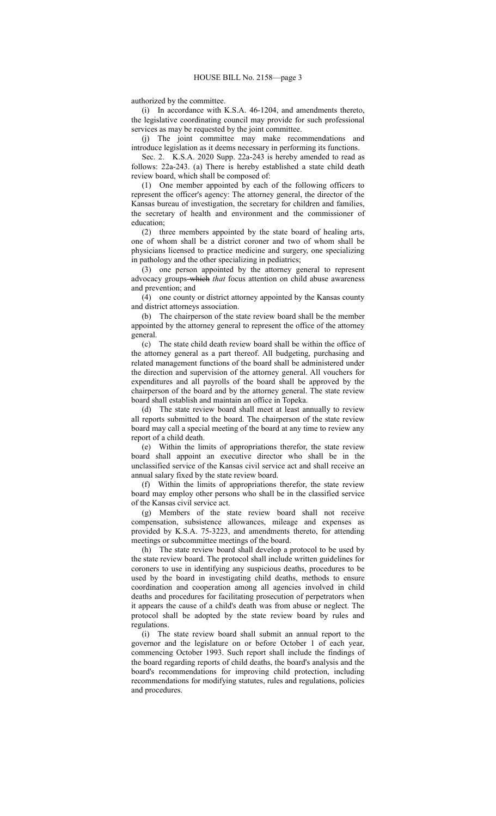authorized by the committee.

(i) In accordance with K.S.A. 46-1204, and amendments thereto, the legislative coordinating council may provide for such professional services as may be requested by the joint committee.

(j) The joint committee may make recommendations and introduce legislation as it deems necessary in performing its functions.

Sec. 2. K.S.A. 2020 Supp. 22a-243 is hereby amended to read as follows: 22a-243. (a) There is hereby established a state child death review board, which shall be composed of:

(1) One member appointed by each of the following officers to represent the officer's agency: The attorney general, the director of the Kansas bureau of investigation, the secretary for children and families, the secretary of health and environment and the commissioner of education;

(2) three members appointed by the state board of healing arts, one of whom shall be a district coroner and two of whom shall be physicians licensed to practice medicine and surgery, one specializing in pathology and the other specializing in pediatrics;

(3) one person appointed by the attorney general to represent advocacy groups-which *that* focus attention on child abuse awareness and prevention; and

(4) one county or district attorney appointed by the Kansas county and district attorneys association.

(b) The chairperson of the state review board shall be the member appointed by the attorney general to represent the office of the attorney general.

(c) The state child death review board shall be within the office of the attorney general as a part thereof. All budgeting, purchasing and related management functions of the board shall be administered under the direction and supervision of the attorney general. All vouchers for expenditures and all payrolls of the board shall be approved by the chairperson of the board and by the attorney general. The state review board shall establish and maintain an office in Topeka.

(d) The state review board shall meet at least annually to review all reports submitted to the board. The chairperson of the state review board may call a special meeting of the board at any time to review any report of a child death.

(e) Within the limits of appropriations therefor, the state review board shall appoint an executive director who shall be in the unclassified service of the Kansas civil service act and shall receive an annual salary fixed by the state review board.

(f) Within the limits of appropriations therefor, the state review board may employ other persons who shall be in the classified service of the Kansas civil service act.

(g) Members of the state review board shall not receive compensation, subsistence allowances, mileage and expenses as provided by K.S.A. 75-3223, and amendments thereto, for attending meetings or subcommittee meetings of the board.

(h) The state review board shall develop a protocol to be used by the state review board. The protocol shall include written guidelines for coroners to use in identifying any suspicious deaths, procedures to be used by the board in investigating child deaths, methods to ensure coordination and cooperation among all agencies involved in child deaths and procedures for facilitating prosecution of perpetrators when it appears the cause of a child's death was from abuse or neglect. The protocol shall be adopted by the state review board by rules and regulations.

(i) The state review board shall submit an annual report to the governor and the legislature on or before October 1 of each year, commencing October 1993. Such report shall include the findings of the board regarding reports of child deaths, the board's analysis and the board's recommendations for improving child protection, including recommendations for modifying statutes, rules and regulations, policies and procedures.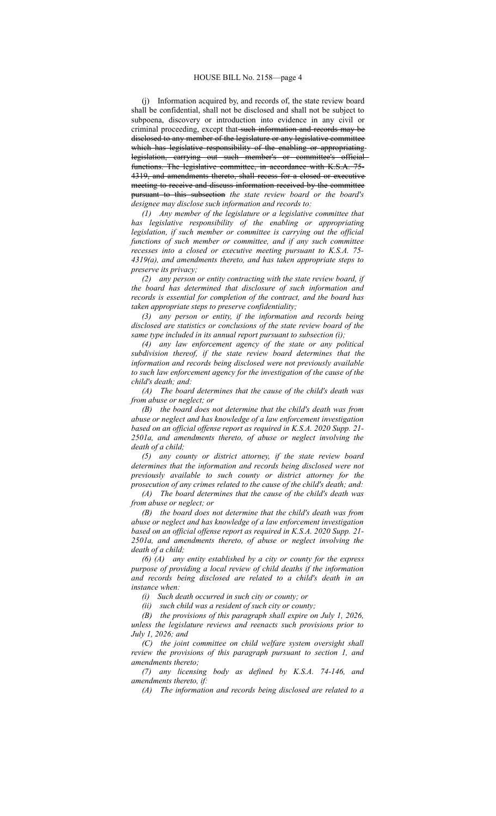(j) Information acquired by, and records of, the state review board shall be confidential, shall not be disclosed and shall not be subject to subpoena, discovery or introduction into evidence in any civil or criminal proceeding, except that such information and records may be disclosed to any member of the legislature or any legislative committee which has legislative responsibility of the enabling or appropriating legislation, carrying out such member's or committee's official functions. The legislative committee, in accordance with K.S.A. 75- 4319, and amendments thereto, shall recess for a closed or executive meeting to receive and discuss information received by the committee pursuant to this subsection *the state review board or the board's designee may disclose such information and records to:*

*(1) Any member of the legislature or a legislative committee that has legislative responsibility of the enabling or appropriating legislation, if such member or committee is carrying out the official functions of such member or committee, and if any such committee recesses into a closed or executive meeting pursuant to K.S.A. 75- 4319(a), and amendments thereto, and has taken appropriate steps to preserve its privacy;*

*(2) any person or entity contracting with the state review board, if the board has determined that disclosure of such information and records is essential for completion of the contract, and the board has taken appropriate steps to preserve confidentiality;*

*(3) any person or entity, if the information and records being disclosed are statistics or conclusions of the state review board of the same type included in its annual report pursuant to subsection (i);*

*(4) any law enforcement agency of the state or any political subdivision thereof, if the state review board determines that the information and records being disclosed were not previously available to such law enforcement agency for the investigation of the cause of the child's death; and:*

*(A) The board determines that the cause of the child's death was from abuse or neglect; or*

*(B) the board does not determine that the child's death was from abuse or neglect and has knowledge of a law enforcement investigation based on an official offense report as required in K.S.A. 2020 Supp. 21- 2501a, and amendments thereto, of abuse or neglect involving the death of a child;*

*(5) any county or district attorney, if the state review board determines that the information and records being disclosed were not previously available to such county or district attorney for the prosecution of any crimes related to the cause of the child's death; and: (A) The board determines that the cause of the child's death was*

*from abuse or neglect; or*

*(B) the board does not determine that the child's death was from abuse or neglect and has knowledge of a law enforcement investigation based on an official offense report as required in K.S.A. 2020 Supp. 21- 2501a, and amendments thereto, of abuse or neglect involving the death of a child;*

*(6) (A) any entity established by a city or county for the express purpose of providing a local review of child deaths if the information and records being disclosed are related to a child's death in an instance when:*

*(i) Such death occurred in such city or county; or*

*(ii) such child was a resident of such city or county;*

*(B) the provisions of this paragraph shall expire on July 1, 2026, unless the legislature reviews and reenacts such provisions prior to July 1, 2026; and*

*(C) the joint committee on child welfare system oversight shall review the provisions of this paragraph pursuant to section 1, and amendments thereto;*

*(7) any licensing body as defined by K.S.A. 74-146, and amendments thereto, if:*

*(A) The information and records being disclosed are related to a*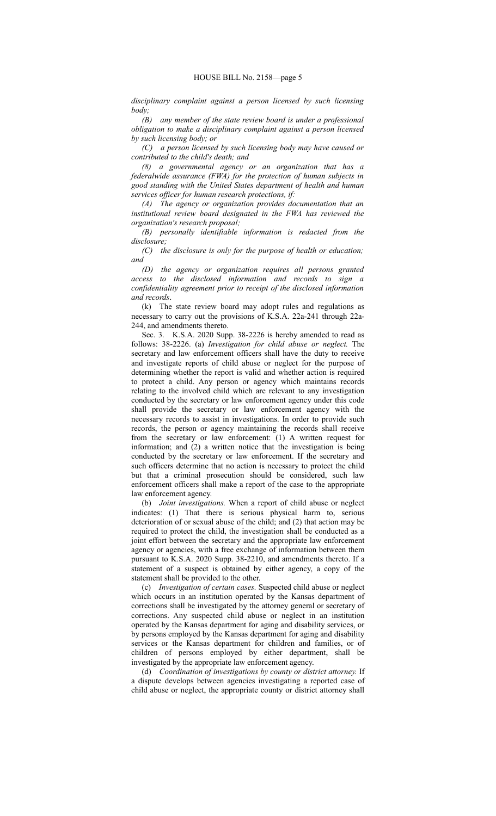*disciplinary complaint against a person licensed by such licensing body;*

*(B) any member of the state review board is under a professional obligation to make a disciplinary complaint against a person licensed by such licensing body; or*

*(C) a person licensed by such licensing body may have caused or contributed to the child's death; and*

*(8) a governmental agency or an organization that has a federalwide assurance (FWA) for the protection of human subjects in good standing with the United States department of health and human services officer for human research protections, if:*

*(A) The agency or organization provides documentation that an institutional review board designated in the FWA has reviewed the organization's research proposal;*

*(B) personally identifiable information is redacted from the disclosure;*

*(C) the disclosure is only for the purpose of health or education; and*

*(D) the agency or organization requires all persons granted access to the disclosed information and records to sign a confidentiality agreement prior to receipt of the disclosed information and records*.

(k) The state review board may adopt rules and regulations as necessary to carry out the provisions of K.S.A. 22a-241 through 22a-244, and amendments thereto.

Sec. 3. K.S.A. 2020 Supp. 38-2226 is hereby amended to read as follows: 38-2226. (a) *Investigation for child abuse or neglect.* The secretary and law enforcement officers shall have the duty to receive and investigate reports of child abuse or neglect for the purpose of determining whether the report is valid and whether action is required to protect a child. Any person or agency which maintains records relating to the involved child which are relevant to any investigation conducted by the secretary or law enforcement agency under this code shall provide the secretary or law enforcement agency with the necessary records to assist in investigations. In order to provide such records, the person or agency maintaining the records shall receive from the secretary or law enforcement: (1) A written request for information; and (2) a written notice that the investigation is being conducted by the secretary or law enforcement. If the secretary and such officers determine that no action is necessary to protect the child but that a criminal prosecution should be considered, such law enforcement officers shall make a report of the case to the appropriate law enforcement agency.

(b) *Joint investigations.* When a report of child abuse or neglect indicates: (1) That there is serious physical harm to, serious deterioration of or sexual abuse of the child; and (2) that action may be required to protect the child, the investigation shall be conducted as a joint effort between the secretary and the appropriate law enforcement agency or agencies, with a free exchange of information between them pursuant to K.S.A. 2020 Supp. 38-2210, and amendments thereto. If a statement of a suspect is obtained by either agency, a copy of the statement shall be provided to the other.

(c) *Investigation of certain cases.* Suspected child abuse or neglect which occurs in an institution operated by the Kansas department of corrections shall be investigated by the attorney general or secretary of corrections. Any suspected child abuse or neglect in an institution operated by the Kansas department for aging and disability services, or by persons employed by the Kansas department for aging and disability services or the Kansas department for children and families, or of children of persons employed by either department, shall be investigated by the appropriate law enforcement agency.

(d) *Coordination of investigations by county or district attorney.* If a dispute develops between agencies investigating a reported case of child abuse or neglect, the appropriate county or district attorney shall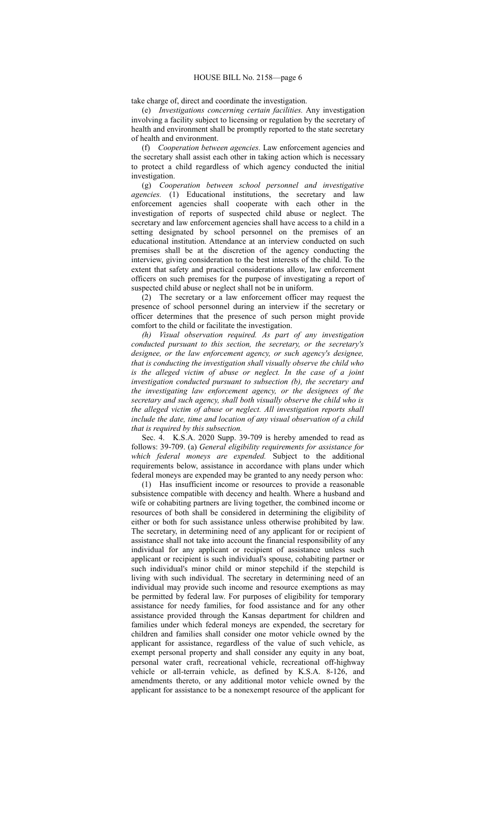take charge of, direct and coordinate the investigation.

(e) *Investigations concerning certain facilities.* Any investigation involving a facility subject to licensing or regulation by the secretary of health and environment shall be promptly reported to the state secretary of health and environment.

(f) *Cooperation between agencies.* Law enforcement agencies and the secretary shall assist each other in taking action which is necessary to protect a child regardless of which agency conducted the initial investigation.

(g) *Cooperation between school personnel and investigative agencies.* (1) Educational institutions, the secretary and law enforcement agencies shall cooperate with each other in the investigation of reports of suspected child abuse or neglect. The secretary and law enforcement agencies shall have access to a child in a setting designated by school personnel on the premises of an educational institution. Attendance at an interview conducted on such premises shall be at the discretion of the agency conducting the interview, giving consideration to the best interests of the child. To the extent that safety and practical considerations allow, law enforcement officers on such premises for the purpose of investigating a report of suspected child abuse or neglect shall not be in uniform.

(2) The secretary or a law enforcement officer may request the presence of school personnel during an interview if the secretary or officer determines that the presence of such person might provide comfort to the child or facilitate the investigation.

*(h) Visual observation required. As part of any investigation conducted pursuant to this section, the secretary, or the secretary's designee, or the law enforcement agency, or such agency's designee, that is conducting the investigation shall visually observe the child who is the alleged victim of abuse or neglect. In the case of a joint investigation conducted pursuant to subsection (b), the secretary and the investigating law enforcement agency, or the designees of the secretary and such agency, shall both visually observe the child who is the alleged victim of abuse or neglect. All investigation reports shall include the date, time and location of any visual observation of a child that is required by this subsection.*

Sec. 4. K.S.A. 2020 Supp. 39-709 is hereby amended to read as follows: 39-709. (a) *General eligibility requirements for assistance for which federal moneys are expended.* Subject to the additional requirements below, assistance in accordance with plans under which federal moneys are expended may be granted to any needy person who:

(1) Has insufficient income or resources to provide a reasonable subsistence compatible with decency and health. Where a husband and wife or cohabiting partners are living together, the combined income or resources of both shall be considered in determining the eligibility of either or both for such assistance unless otherwise prohibited by law. The secretary, in determining need of any applicant for or recipient of assistance shall not take into account the financial responsibility of any individual for any applicant or recipient of assistance unless such applicant or recipient is such individual's spouse, cohabiting partner or such individual's minor child or minor stepchild if the stepchild is living with such individual. The secretary in determining need of an individual may provide such income and resource exemptions as may be permitted by federal law. For purposes of eligibility for temporary assistance for needy families, for food assistance and for any other assistance provided through the Kansas department for children and families under which federal moneys are expended, the secretary for children and families shall consider one motor vehicle owned by the applicant for assistance, regardless of the value of such vehicle, as exempt personal property and shall consider any equity in any boat, personal water craft, recreational vehicle, recreational off-highway vehicle or all-terrain vehicle, as defined by K.S.A. 8-126, and amendments thereto, or any additional motor vehicle owned by the applicant for assistance to be a nonexempt resource of the applicant for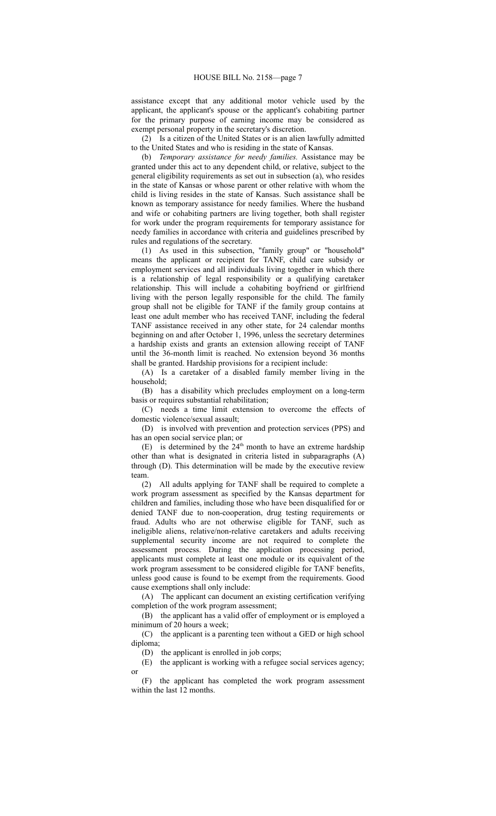assistance except that any additional motor vehicle used by the applicant, the applicant's spouse or the applicant's cohabiting partner for the primary purpose of earning income may be considered as exempt personal property in the secretary's discretion.

(2) Is a citizen of the United States or is an alien lawfully admitted to the United States and who is residing in the state of Kansas.

(b) *Temporary assistance for needy families.* Assistance may be granted under this act to any dependent child, or relative, subject to the general eligibility requirements as set out in subsection (a), who resides in the state of Kansas or whose parent or other relative with whom the child is living resides in the state of Kansas. Such assistance shall be known as temporary assistance for needy families. Where the husband and wife or cohabiting partners are living together, both shall register for work under the program requirements for temporary assistance for needy families in accordance with criteria and guidelines prescribed by rules and regulations of the secretary.

(1) As used in this subsection, "family group" or "household" means the applicant or recipient for TANF, child care subsidy or employment services and all individuals living together in which there is a relationship of legal responsibility or a qualifying caretaker relationship. This will include a cohabiting boyfriend or girlfriend living with the person legally responsible for the child. The family group shall not be eligible for TANF if the family group contains at least one adult member who has received TANF, including the federal TANF assistance received in any other state, for 24 calendar months beginning on and after October 1, 1996, unless the secretary determines a hardship exists and grants an extension allowing receipt of TANF until the 36-month limit is reached. No extension beyond 36 months shall be granted. Hardship provisions for a recipient include:

(A) Is a caretaker of a disabled family member living in the household;

(B) has a disability which precludes employment on a long-term basis or requires substantial rehabilitation;

(C) needs a time limit extension to overcome the effects of domestic violence/sexual assault;

(D) is involved with prevention and protection services (PPS) and has an open social service plan; or

(E) is determined by the  $24<sup>th</sup>$  month to have an extreme hardship other than what is designated in criteria listed in subparagraphs (A) through (D). This determination will be made by the executive review team.

(2) All adults applying for TANF shall be required to complete a work program assessment as specified by the Kansas department for children and families, including those who have been disqualified for or denied TANF due to non-cooperation, drug testing requirements or fraud. Adults who are not otherwise eligible for TANF, such as ineligible aliens, relative/non-relative caretakers and adults receiving supplemental security income are not required to complete the assessment process. During the application processing period, applicants must complete at least one module or its equivalent of the work program assessment to be considered eligible for TANF benefits, unless good cause is found to be exempt from the requirements. Good cause exemptions shall only include:

(A) The applicant can document an existing certification verifying completion of the work program assessment;

(B) the applicant has a valid offer of employment or is employed a minimum of 20 hours a week;

(C) the applicant is a parenting teen without a GED or high school diploma;

(D) the applicant is enrolled in job corps;

(E) the applicant is working with a refugee social services agency; or

(F) the applicant has completed the work program assessment within the last 12 months.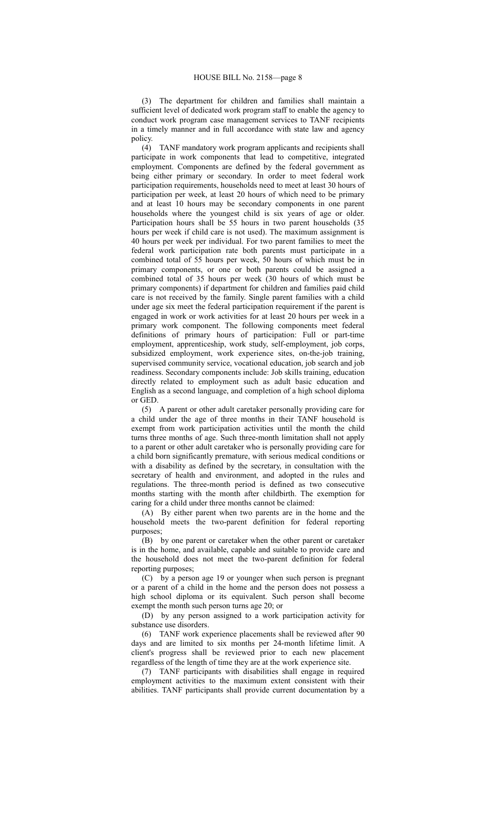(3) The department for children and families shall maintain a sufficient level of dedicated work program staff to enable the agency to conduct work program case management services to TANF recipients in a timely manner and in full accordance with state law and agency policy.

(4) TANF mandatory work program applicants and recipients shall participate in work components that lead to competitive, integrated employment. Components are defined by the federal government as being either primary or secondary. In order to meet federal work participation requirements, households need to meet at least 30 hours of participation per week, at least 20 hours of which need to be primary and at least 10 hours may be secondary components in one parent households where the youngest child is six years of age or older. Participation hours shall be 55 hours in two parent households (35 hours per week if child care is not used). The maximum assignment is 40 hours per week per individual. For two parent families to meet the federal work participation rate both parents must participate in a combined total of 55 hours per week, 50 hours of which must be in primary components, or one or both parents could be assigned a combined total of 35 hours per week (30 hours of which must be primary components) if department for children and families paid child care is not received by the family. Single parent families with a child under age six meet the federal participation requirement if the parent is engaged in work or work activities for at least 20 hours per week in a primary work component. The following components meet federal definitions of primary hours of participation: Full or part-time employment, apprenticeship, work study, self-employment, job corps, subsidized employment, work experience sites, on-the-job training, supervised community service, vocational education, job search and job readiness. Secondary components include: Job skills training, education directly related to employment such as adult basic education and English as a second language, and completion of a high school diploma or GED.

(5) A parent or other adult caretaker personally providing care for a child under the age of three months in their TANF household is exempt from work participation activities until the month the child turns three months of age. Such three-month limitation shall not apply to a parent or other adult caretaker who is personally providing care for a child born significantly premature, with serious medical conditions or with a disability as defined by the secretary, in consultation with the secretary of health and environment, and adopted in the rules and regulations. The three-month period is defined as two consecutive months starting with the month after childbirth. The exemption for caring for a child under three months cannot be claimed:

(A) By either parent when two parents are in the home and the household meets the two-parent definition for federal reporting purposes;

(B) by one parent or caretaker when the other parent or caretaker is in the home, and available, capable and suitable to provide care and the household does not meet the two-parent definition for federal reporting purposes;

(C) by a person age 19 or younger when such person is pregnant or a parent of a child in the home and the person does not possess a high school diploma or its equivalent. Such person shall become exempt the month such person turns age 20; or

(D) by any person assigned to a work participation activity for substance use disorders.

(6) TANF work experience placements shall be reviewed after 90 days and are limited to six months per 24-month lifetime limit. A client's progress shall be reviewed prior to each new placement regardless of the length of time they are at the work experience site.

(7) TANF participants with disabilities shall engage in required employment activities to the maximum extent consistent with their abilities. TANF participants shall provide current documentation by a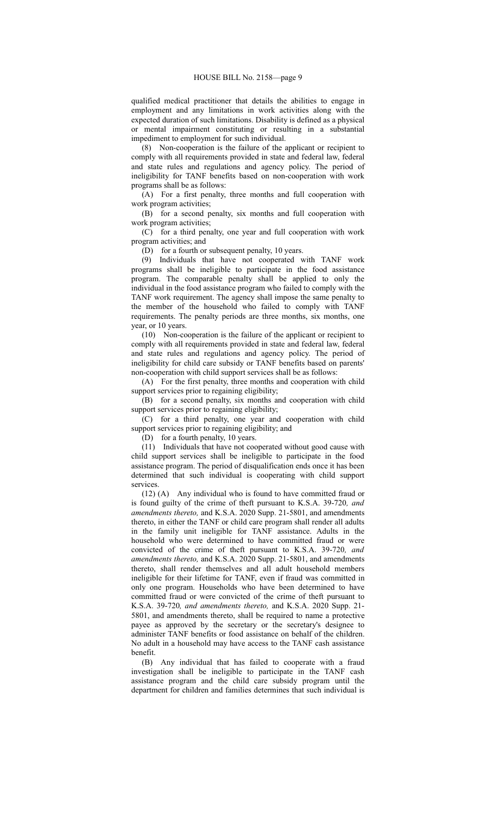qualified medical practitioner that details the abilities to engage in employment and any limitations in work activities along with the expected duration of such limitations. Disability is defined as a physical or mental impairment constituting or resulting in a substantial impediment to employment for such individual.

(8) Non-cooperation is the failure of the applicant or recipient to comply with all requirements provided in state and federal law, federal and state rules and regulations and agency policy. The period of ineligibility for TANF benefits based on non-cooperation with work programs shall be as follows:

(A) For a first penalty, three months and full cooperation with work program activities;

(B) for a second penalty, six months and full cooperation with work program activities;

(C) for a third penalty, one year and full cooperation with work program activities; and

(D) for a fourth or subsequent penalty, 10 years.

(9) Individuals that have not cooperated with TANF work programs shall be ineligible to participate in the food assistance program. The comparable penalty shall be applied to only the individual in the food assistance program who failed to comply with the TANF work requirement. The agency shall impose the same penalty to the member of the household who failed to comply with TANF requirements. The penalty periods are three months, six months, one year, or 10 years.

(10) Non-cooperation is the failure of the applicant or recipient to comply with all requirements provided in state and federal law, federal and state rules and regulations and agency policy. The period of ineligibility for child care subsidy or TANF benefits based on parents' non-cooperation with child support services shall be as follows:

(A) For the first penalty, three months and cooperation with child support services prior to regaining eligibility;

(B) for a second penalty, six months and cooperation with child support services prior to regaining eligibility;

(C) for a third penalty, one year and cooperation with child support services prior to regaining eligibility; and

(D) for a fourth penalty, 10 years.

(11) Individuals that have not cooperated without good cause with child support services shall be ineligible to participate in the food assistance program. The period of disqualification ends once it has been determined that such individual is cooperating with child support services.

(12) (A) Any individual who is found to have committed fraud or is found guilty of the crime of theft pursuant to K.S.A. 39-720*, and amendments thereto,* and K.S.A. 2020 Supp. 21-5801, and amendments thereto, in either the TANF or child care program shall render all adults in the family unit ineligible for TANF assistance. Adults in the household who were determined to have committed fraud or were convicted of the crime of theft pursuant to K.S.A. 39-720*, and amendments thereto,* and K.S.A. 2020 Supp. 21-5801, and amendments thereto, shall render themselves and all adult household members ineligible for their lifetime for TANF, even if fraud was committed in only one program. Households who have been determined to have committed fraud or were convicted of the crime of theft pursuant to K.S.A. 39-720*, and amendments thereto,* and K.S.A. 2020 Supp. 21- 5801, and amendments thereto, shall be required to name a protective payee as approved by the secretary or the secretary's designee to administer TANF benefits or food assistance on behalf of the children. No adult in a household may have access to the TANF cash assistance benefit.

(B) Any individual that has failed to cooperate with a fraud investigation shall be ineligible to participate in the TANF cash assistance program and the child care subsidy program until the department for children and families determines that such individual is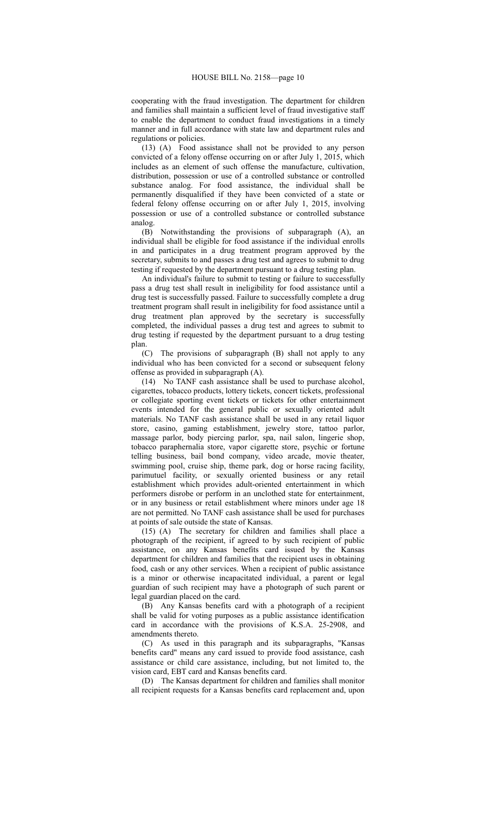cooperating with the fraud investigation. The department for children and families shall maintain a sufficient level of fraud investigative staff to enable the department to conduct fraud investigations in a timely manner and in full accordance with state law and department rules and regulations or policies.

(13) (A) Food assistance shall not be provided to any person convicted of a felony offense occurring on or after July 1, 2015, which includes as an element of such offense the manufacture, cultivation, distribution, possession or use of a controlled substance or controlled substance analog. For food assistance, the individual shall be permanently disqualified if they have been convicted of a state or federal felony offense occurring on or after July 1, 2015, involving possession or use of a controlled substance or controlled substance analog.

(B) Notwithstanding the provisions of subparagraph (A), an individual shall be eligible for food assistance if the individual enrolls in and participates in a drug treatment program approved by the secretary, submits to and passes a drug test and agrees to submit to drug testing if requested by the department pursuant to a drug testing plan.

An individual's failure to submit to testing or failure to successfully pass a drug test shall result in ineligibility for food assistance until a drug test is successfully passed. Failure to successfully complete a drug treatment program shall result in ineligibility for food assistance until a drug treatment plan approved by the secretary is successfully completed, the individual passes a drug test and agrees to submit to drug testing if requested by the department pursuant to a drug testing plan.

(C) The provisions of subparagraph (B) shall not apply to any individual who has been convicted for a second or subsequent felony offense as provided in subparagraph (A).

(14) No TANF cash assistance shall be used to purchase alcohol, cigarettes, tobacco products, lottery tickets, concert tickets, professional or collegiate sporting event tickets or tickets for other entertainment events intended for the general public or sexually oriented adult materials. No TANF cash assistance shall be used in any retail liquor store, casino, gaming establishment, jewelry store, tattoo parlor, massage parlor, body piercing parlor, spa, nail salon, lingerie shop, tobacco paraphernalia store, vapor cigarette store, psychic or fortune telling business, bail bond company, video arcade, movie theater, swimming pool, cruise ship, theme park, dog or horse racing facility, parimutuel facility, or sexually oriented business or any retail establishment which provides adult-oriented entertainment in which performers disrobe or perform in an unclothed state for entertainment, or in any business or retail establishment where minors under age 18 are not permitted. No TANF cash assistance shall be used for purchases at points of sale outside the state of Kansas.

(15) (A) The secretary for children and families shall place a photograph of the recipient, if agreed to by such recipient of public assistance, on any Kansas benefits card issued by the Kansas department for children and families that the recipient uses in obtaining food, cash or any other services. When a recipient of public assistance is a minor or otherwise incapacitated individual, a parent or legal guardian of such recipient may have a photograph of such parent or legal guardian placed on the card.

(B) Any Kansas benefits card with a photograph of a recipient shall be valid for voting purposes as a public assistance identification card in accordance with the provisions of K.S.A. 25-2908, and amendments thereto.

(C) As used in this paragraph and its subparagraphs, "Kansas benefits card" means any card issued to provide food assistance, cash assistance or child care assistance, including, but not limited to, the vision card, EBT card and Kansas benefits card.

(D) The Kansas department for children and families shall monitor all recipient requests for a Kansas benefits card replacement and, upon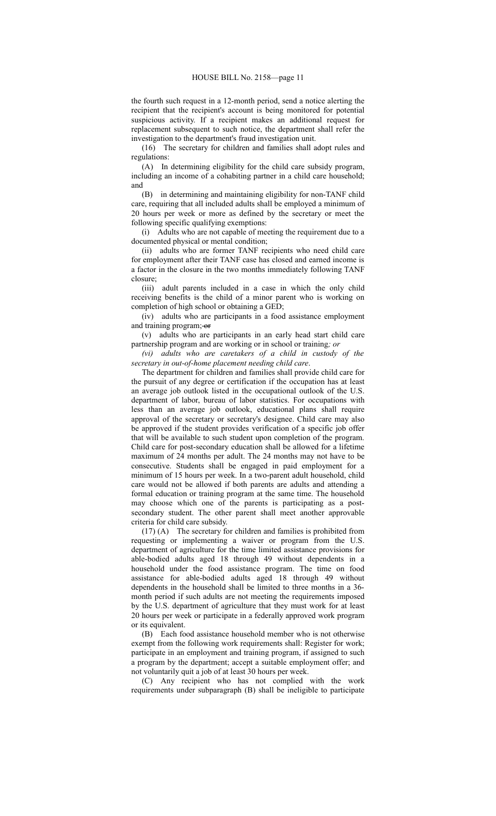the fourth such request in a 12-month period, send a notice alerting the recipient that the recipient's account is being monitored for potential suspicious activity. If a recipient makes an additional request for replacement subsequent to such notice, the department shall refer the investigation to the department's fraud investigation unit.

(16) The secretary for children and families shall adopt rules and regulations:

(A) In determining eligibility for the child care subsidy program, including an income of a cohabiting partner in a child care household; and

(B) in determining and maintaining eligibility for non-TANF child care, requiring that all included adults shall be employed a minimum of 20 hours per week or more as defined by the secretary or meet the following specific qualifying exemptions:

(i) Adults who are not capable of meeting the requirement due to a documented physical or mental condition;

(ii) adults who are former TANF recipients who need child care for employment after their TANF case has closed and earned income is a factor in the closure in the two months immediately following TANF closure;

(iii) adult parents included in a case in which the only child receiving benefits is the child of a minor parent who is working on completion of high school or obtaining a GED;

(iv) adults who are participants in a food assistance employment and training program; or

(v) adults who are participants in an early head start child care partnership program and are working or in school or training*; or*

*(vi) adults who are caretakers of a child in custody of the secretary in out-of-home placement needing child care*.

The department for children and families shall provide child care for the pursuit of any degree or certification if the occupation has at least an average job outlook listed in the occupational outlook of the U.S. department of labor, bureau of labor statistics. For occupations with less than an average job outlook, educational plans shall require approval of the secretary or secretary's designee. Child care may also be approved if the student provides verification of a specific job offer that will be available to such student upon completion of the program. Child care for post-secondary education shall be allowed for a lifetime maximum of 24 months per adult. The 24 months may not have to be consecutive. Students shall be engaged in paid employment for a minimum of 15 hours per week. In a two-parent adult household, child care would not be allowed if both parents are adults and attending a formal education or training program at the same time. The household may choose which one of the parents is participating as a postsecondary student. The other parent shall meet another approvable criteria for child care subsidy.

(17) (A) The secretary for children and families is prohibited from requesting or implementing a waiver or program from the U.S. department of agriculture for the time limited assistance provisions for able-bodied adults aged 18 through 49 without dependents in a household under the food assistance program. The time on food assistance for able-bodied adults aged 18 through 49 without dependents in the household shall be limited to three months in a 36 month period if such adults are not meeting the requirements imposed by the U.S. department of agriculture that they must work for at least 20 hours per week or participate in a federally approved work program or its equivalent.

(B) Each food assistance household member who is not otherwise exempt from the following work requirements shall: Register for work; participate in an employment and training program, if assigned to such a program by the department; accept a suitable employment offer; and not voluntarily quit a job of at least 30 hours per week.

(C) Any recipient who has not complied with the work requirements under subparagraph (B) shall be ineligible to participate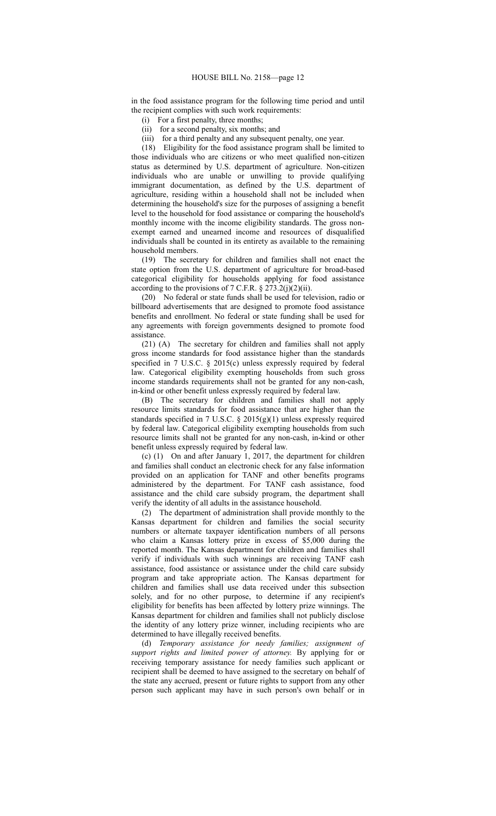in the food assistance program for the following time period and until the recipient complies with such work requirements:

(i) For a first penalty, three months;

(ii) for a second penalty, six months; and

(iii) for a third penalty and any subsequent penalty, one year.

(18) Eligibility for the food assistance program shall be limited to those individuals who are citizens or who meet qualified non-citizen status as determined by U.S. department of agriculture. Non-citizen individuals who are unable or unwilling to provide qualifying immigrant documentation, as defined by the U.S. department of agriculture, residing within a household shall not be included when determining the household's size for the purposes of assigning a benefit level to the household for food assistance or comparing the household's monthly income with the income eligibility standards. The gross nonexempt earned and unearned income and resources of disqualified individuals shall be counted in its entirety as available to the remaining household members.

(19) The secretary for children and families shall not enact the state option from the U.S. department of agriculture for broad-based categorical eligibility for households applying for food assistance according to the provisions of 7 C.F.R.  $\S 273.2(j)(2)(ii)$ .

(20) No federal or state funds shall be used for television, radio or billboard advertisements that are designed to promote food assistance benefits and enrollment. No federal or state funding shall be used for any agreements with foreign governments designed to promote food assistance.

(21) (A) The secretary for children and families shall not apply gross income standards for food assistance higher than the standards specified in 7 U.S.C. § 2015(c) unless expressly required by federal law. Categorical eligibility exempting households from such gross income standards requirements shall not be granted for any non-cash, in-kind or other benefit unless expressly required by federal law.

(B) The secretary for children and families shall not apply resource limits standards for food assistance that are higher than the standards specified in 7 U.S.C. § 2015(g)(1) unless expressly required by federal law. Categorical eligibility exempting households from such resource limits shall not be granted for any non-cash, in-kind or other benefit unless expressly required by federal law.

(c) (1) On and after January 1, 2017, the department for children and families shall conduct an electronic check for any false information provided on an application for TANF and other benefits programs administered by the department. For TANF cash assistance, food assistance and the child care subsidy program, the department shall verify the identity of all adults in the assistance household.

(2) The department of administration shall provide monthly to the Kansas department for children and families the social security numbers or alternate taxpayer identification numbers of all persons who claim a Kansas lottery prize in excess of \$5,000 during the reported month. The Kansas department for children and families shall verify if individuals with such winnings are receiving TANF cash assistance, food assistance or assistance under the child care subsidy program and take appropriate action. The Kansas department for children and families shall use data received under this subsection solely, and for no other purpose, to determine if any recipient's eligibility for benefits has been affected by lottery prize winnings. The Kansas department for children and families shall not publicly disclose the identity of any lottery prize winner, including recipients who are determined to have illegally received benefits.

(d) *Temporary assistance for needy families; assignment of support rights and limited power of attorney.* By applying for or receiving temporary assistance for needy families such applicant or recipient shall be deemed to have assigned to the secretary on behalf of the state any accrued, present or future rights to support from any other person such applicant may have in such person's own behalf or in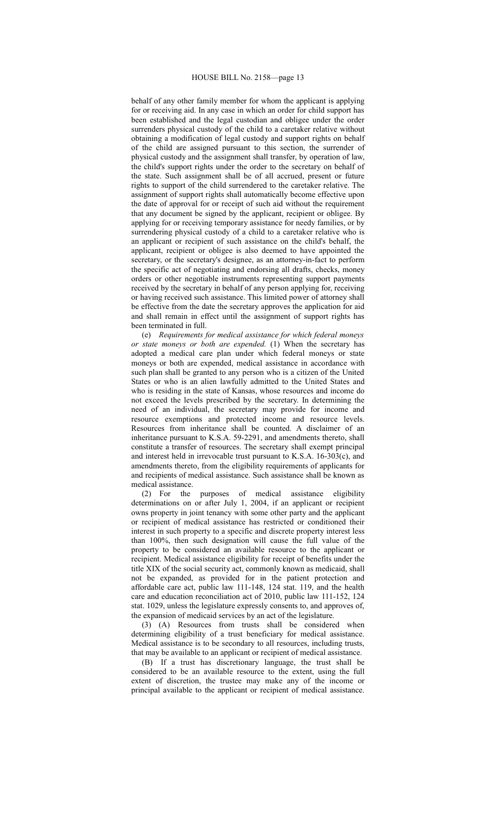### HOUSE BILL No. 2158—page 13

behalf of any other family member for whom the applicant is applying for or receiving aid. In any case in which an order for child support has been established and the legal custodian and obligee under the order surrenders physical custody of the child to a caretaker relative without obtaining a modification of legal custody and support rights on behalf of the child are assigned pursuant to this section, the surrender of physical custody and the assignment shall transfer, by operation of law, the child's support rights under the order to the secretary on behalf of the state. Such assignment shall be of all accrued, present or future rights to support of the child surrendered to the caretaker relative. The assignment of support rights shall automatically become effective upon the date of approval for or receipt of such aid without the requirement that any document be signed by the applicant, recipient or obligee. By applying for or receiving temporary assistance for needy families, or by surrendering physical custody of a child to a caretaker relative who is an applicant or recipient of such assistance on the child's behalf, the applicant, recipient or obligee is also deemed to have appointed the secretary, or the secretary's designee, as an attorney-in-fact to perform the specific act of negotiating and endorsing all drafts, checks, money orders or other negotiable instruments representing support payments received by the secretary in behalf of any person applying for, receiving or having received such assistance. This limited power of attorney shall be effective from the date the secretary approves the application for aid and shall remain in effect until the assignment of support rights has been terminated in full.

(e) *Requirements for medical assistance for which federal moneys or state moneys or both are expended.* (1) When the secretary has adopted a medical care plan under which federal moneys or state moneys or both are expended, medical assistance in accordance with such plan shall be granted to any person who is a citizen of the United States or who is an alien lawfully admitted to the United States and who is residing in the state of Kansas, whose resources and income do not exceed the levels prescribed by the secretary. In determining the need of an individual, the secretary may provide for income and resource exemptions and protected income and resource levels. Resources from inheritance shall be counted. A disclaimer of an inheritance pursuant to K.S.A. 59-2291, and amendments thereto, shall constitute a transfer of resources. The secretary shall exempt principal and interest held in irrevocable trust pursuant to K.S.A. 16-303(c), and amendments thereto, from the eligibility requirements of applicants for and recipients of medical assistance. Such assistance shall be known as medical assistance.

(2) For the purposes of medical assistance eligibility determinations on or after July 1, 2004, if an applicant or recipient owns property in joint tenancy with some other party and the applicant or recipient of medical assistance has restricted or conditioned their interest in such property to a specific and discrete property interest less than 100%, then such designation will cause the full value of the property to be considered an available resource to the applicant or recipient. Medical assistance eligibility for receipt of benefits under the title XIX of the social security act, commonly known as medicaid, shall not be expanded, as provided for in the patient protection and affordable care act, public law 111-148, 124 stat. 119, and the health care and education reconciliation act of 2010, public law 111-152, 124 stat. 1029, unless the legislature expressly consents to, and approves of, the expansion of medicaid services by an act of the legislature.

(3) (A) Resources from trusts shall be considered when determining eligibility of a trust beneficiary for medical assistance. Medical assistance is to be secondary to all resources, including trusts, that may be available to an applicant or recipient of medical assistance.

(B) If a trust has discretionary language, the trust shall be considered to be an available resource to the extent, using the full extent of discretion, the trustee may make any of the income or principal available to the applicant or recipient of medical assistance.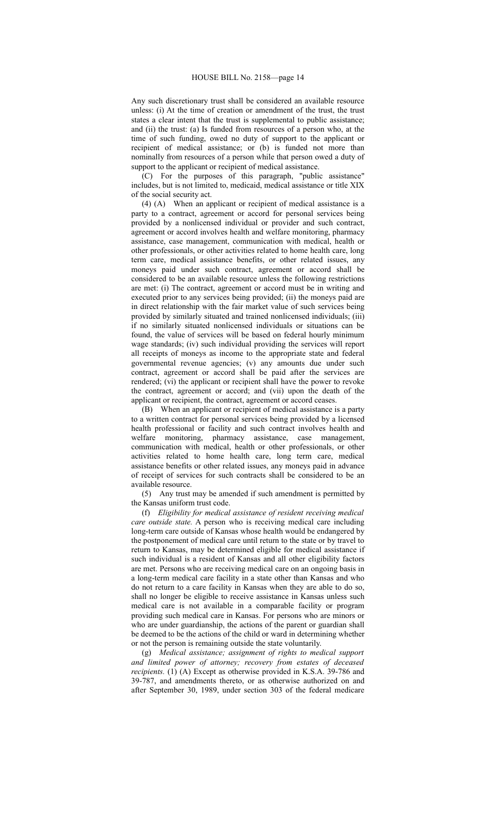Any such discretionary trust shall be considered an available resource unless: (i) At the time of creation or amendment of the trust, the trust states a clear intent that the trust is supplemental to public assistance; and (ii) the trust: (a) Is funded from resources of a person who, at the time of such funding, owed no duty of support to the applicant or recipient of medical assistance; or (b) is funded not more than nominally from resources of a person while that person owed a duty of support to the applicant or recipient of medical assistance.

(C) For the purposes of this paragraph, "public assistance" includes, but is not limited to, medicaid, medical assistance or title XIX of the social security act.

(4) (A) When an applicant or recipient of medical assistance is a party to a contract, agreement or accord for personal services being provided by a nonlicensed individual or provider and such contract, agreement or accord involves health and welfare monitoring, pharmacy assistance, case management, communication with medical, health or other professionals, or other activities related to home health care, long term care, medical assistance benefits, or other related issues, any moneys paid under such contract, agreement or accord shall be considered to be an available resource unless the following restrictions are met: (i) The contract, agreement or accord must be in writing and executed prior to any services being provided; (ii) the moneys paid are in direct relationship with the fair market value of such services being provided by similarly situated and trained nonlicensed individuals; (iii) if no similarly situated nonlicensed individuals or situations can be found, the value of services will be based on federal hourly minimum wage standards; (iv) such individual providing the services will report all receipts of moneys as income to the appropriate state and federal governmental revenue agencies; (v) any amounts due under such contract, agreement or accord shall be paid after the services are rendered; (vi) the applicant or recipient shall have the power to revoke the contract, agreement or accord; and (vii) upon the death of the applicant or recipient, the contract, agreement or accord ceases.

(B) When an applicant or recipient of medical assistance is a party to a written contract for personal services being provided by a licensed health professional or facility and such contract involves health and welfare monitoring, pharmacy assistance, case management, communication with medical, health or other professionals, or other activities related to home health care, long term care, medical assistance benefits or other related issues, any moneys paid in advance of receipt of services for such contracts shall be considered to be an available resource.

(5) Any trust may be amended if such amendment is permitted by the Kansas uniform trust code.

(f) *Eligibility for medical assistance of resident receiving medical care outside state.* A person who is receiving medical care including long-term care outside of Kansas whose health would be endangered by the postponement of medical care until return to the state or by travel to return to Kansas, may be determined eligible for medical assistance if such individual is a resident of Kansas and all other eligibility factors are met. Persons who are receiving medical care on an ongoing basis in a long-term medical care facility in a state other than Kansas and who do not return to a care facility in Kansas when they are able to do so, shall no longer be eligible to receive assistance in Kansas unless such medical care is not available in a comparable facility or program providing such medical care in Kansas. For persons who are minors or who are under guardianship, the actions of the parent or guardian shall be deemed to be the actions of the child or ward in determining whether or not the person is remaining outside the state voluntarily.

(g) *Medical assistance; assignment of rights to medical support and limited power of attorney; recovery from estates of deceased recipients.* (1) (A) Except as otherwise provided in K.S.A. 39-786 and 39-787, and amendments thereto, or as otherwise authorized on and after September 30, 1989, under section 303 of the federal medicare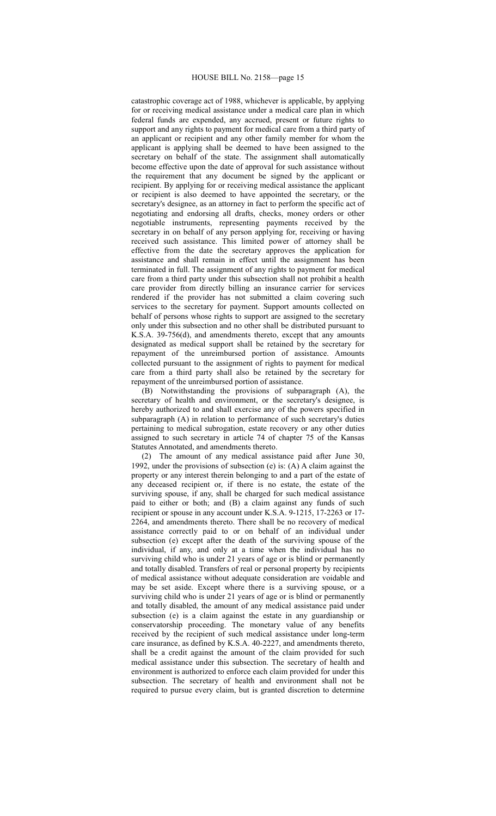#### HOUSE BILL No. 2158—page 15

catastrophic coverage act of 1988, whichever is applicable, by applying for or receiving medical assistance under a medical care plan in which federal funds are expended, any accrued, present or future rights to support and any rights to payment for medical care from a third party of an applicant or recipient and any other family member for whom the applicant is applying shall be deemed to have been assigned to the secretary on behalf of the state. The assignment shall automatically become effective upon the date of approval for such assistance without the requirement that any document be signed by the applicant or recipient. By applying for or receiving medical assistance the applicant or recipient is also deemed to have appointed the secretary, or the secretary's designee, as an attorney in fact to perform the specific act of negotiating and endorsing all drafts, checks, money orders or other negotiable instruments, representing payments received by the secretary in on behalf of any person applying for, receiving or having received such assistance. This limited power of attorney shall be effective from the date the secretary approves the application for assistance and shall remain in effect until the assignment has been terminated in full. The assignment of any rights to payment for medical care from a third party under this subsection shall not prohibit a health care provider from directly billing an insurance carrier for services rendered if the provider has not submitted a claim covering such services to the secretary for payment. Support amounts collected on behalf of persons whose rights to support are assigned to the secretary only under this subsection and no other shall be distributed pursuant to K.S.A. 39-756(d), and amendments thereto, except that any amounts designated as medical support shall be retained by the secretary for repayment of the unreimbursed portion of assistance. Amounts collected pursuant to the assignment of rights to payment for medical care from a third party shall also be retained by the secretary for repayment of the unreimbursed portion of assistance.

(B) Notwithstanding the provisions of subparagraph (A), the secretary of health and environment, or the secretary's designee, is hereby authorized to and shall exercise any of the powers specified in subparagraph (A) in relation to performance of such secretary's duties pertaining to medical subrogation, estate recovery or any other duties assigned to such secretary in article 74 of chapter 75 of the Kansas Statutes Annotated, and amendments thereto.

(2) The amount of any medical assistance paid after June 30, 1992, under the provisions of subsection (e) is:  $(A)$  A claim against the property or any interest therein belonging to and a part of the estate of any deceased recipient or, if there is no estate, the estate of the surviving spouse, if any, shall be charged for such medical assistance paid to either or both; and (B) a claim against any funds of such recipient or spouse in any account under K.S.A. 9-1215, 17-2263 or 17- 2264, and amendments thereto. There shall be no recovery of medical assistance correctly paid to or on behalf of an individual under subsection (e) except after the death of the surviving spouse of the individual, if any, and only at a time when the individual has no surviving child who is under 21 years of age or is blind or permanently and totally disabled. Transfers of real or personal property by recipients of medical assistance without adequate consideration are voidable and may be set aside. Except where there is a surviving spouse, or a surviving child who is under 21 years of age or is blind or permanently and totally disabled, the amount of any medical assistance paid under subsection (e) is a claim against the estate in any guardianship or conservatorship proceeding. The monetary value of any benefits received by the recipient of such medical assistance under long-term care insurance, as defined by K.S.A. 40-2227, and amendments thereto, shall be a credit against the amount of the claim provided for such medical assistance under this subsection. The secretary of health and environment is authorized to enforce each claim provided for under this subsection. The secretary of health and environment shall not be required to pursue every claim, but is granted discretion to determine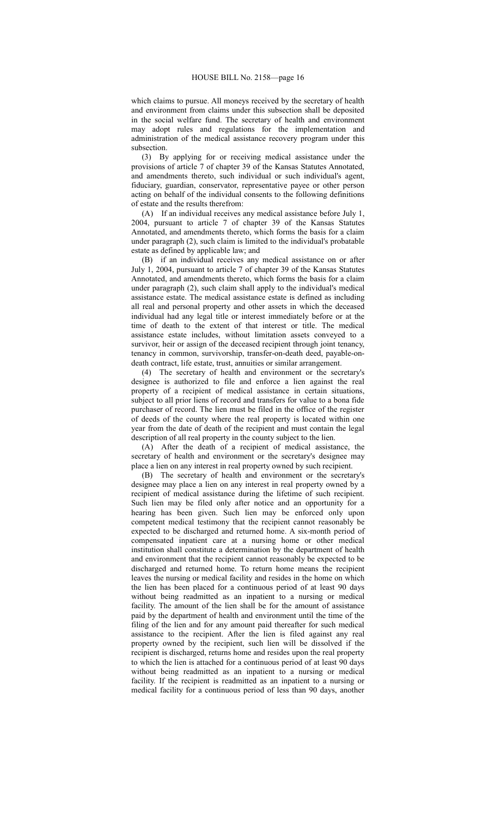which claims to pursue. All moneys received by the secretary of health and environment from claims under this subsection shall be deposited in the social welfare fund. The secretary of health and environment may adopt rules and regulations for the implementation and administration of the medical assistance recovery program under this subsection.

(3) By applying for or receiving medical assistance under the provisions of article 7 of chapter 39 of the Kansas Statutes Annotated, and amendments thereto, such individual or such individual's agent, fiduciary, guardian, conservator, representative payee or other person acting on behalf of the individual consents to the following definitions of estate and the results therefrom:

(A) If an individual receives any medical assistance before July 1, 2004, pursuant to article 7 of chapter 39 of the Kansas Statutes Annotated, and amendments thereto, which forms the basis for a claim under paragraph (2), such claim is limited to the individual's probatable estate as defined by applicable law; and

(B) if an individual receives any medical assistance on or after July 1, 2004, pursuant to article 7 of chapter 39 of the Kansas Statutes Annotated, and amendments thereto, which forms the basis for a claim under paragraph (2), such claim shall apply to the individual's medical assistance estate. The medical assistance estate is defined as including all real and personal property and other assets in which the deceased individual had any legal title or interest immediately before or at the time of death to the extent of that interest or title. The medical assistance estate includes, without limitation assets conveyed to a survivor, heir or assign of the deceased recipient through joint tenancy, tenancy in common, survivorship, transfer-on-death deed, payable-ondeath contract, life estate, trust, annuities or similar arrangement.

(4) The secretary of health and environment or the secretary's designee is authorized to file and enforce a lien against the real property of a recipient of medical assistance in certain situations, subject to all prior liens of record and transfers for value to a bona fide purchaser of record. The lien must be filed in the office of the register of deeds of the county where the real property is located within one year from the date of death of the recipient and must contain the legal description of all real property in the county subject to the lien.

(A) After the death of a recipient of medical assistance, the secretary of health and environment or the secretary's designee may place a lien on any interest in real property owned by such recipient.

(B) The secretary of health and environment or the secretary's designee may place a lien on any interest in real property owned by a recipient of medical assistance during the lifetime of such recipient. Such lien may be filed only after notice and an opportunity for a hearing has been given. Such lien may be enforced only upon competent medical testimony that the recipient cannot reasonably be expected to be discharged and returned home. A six-month period of compensated inpatient care at a nursing home or other medical institution shall constitute a determination by the department of health and environment that the recipient cannot reasonably be expected to be discharged and returned home. To return home means the recipient leaves the nursing or medical facility and resides in the home on which the lien has been placed for a continuous period of at least 90 days without being readmitted as an inpatient to a nursing or medical facility. The amount of the lien shall be for the amount of assistance paid by the department of health and environment until the time of the filing of the lien and for any amount paid thereafter for such medical assistance to the recipient. After the lien is filed against any real property owned by the recipient, such lien will be dissolved if the recipient is discharged, returns home and resides upon the real property to which the lien is attached for a continuous period of at least 90 days without being readmitted as an inpatient to a nursing or medical facility. If the recipient is readmitted as an inpatient to a nursing or medical facility for a continuous period of less than 90 days, another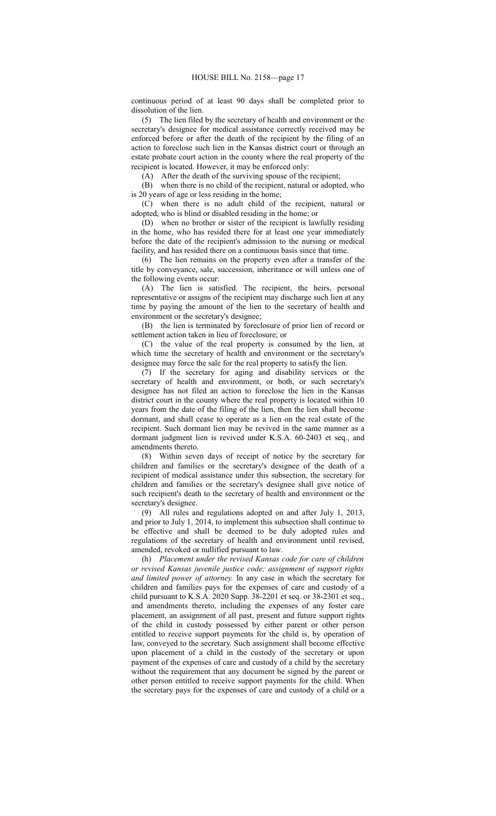continuous period of at least 90 days shall be completed prior to dissolution of the lien.

(5) The lien filed by the secretary of health and environment or the secretary's designee for medical assistance correctly received may be enforced before or after the death of the recipient by the filing of an action to foreclose such lien in the Kansas district court or through an estate probate court action in the county where the real property of the recipient is located. However, it may be enforced only:

(A) After the death of the surviving spouse of the recipient;

(B) when there is no child of the recipient, natural or adopted, who is 20 years of age or less residing in the home;

(C) when there is no adult child of the recipient, natural or adopted, who is blind or disabled residing in the home; or

(D) when no brother or sister of the recipient is lawfully residing in the home, who has resided there for at least one year immediately before the date of the recipient's admission to the nursing or medical facility, and has resided there on a continuous basis since that time.

(6) The lien remains on the property even after a transfer of the title by conveyance, sale, succession, inheritance or will unless one of the following events occur:

(A) The lien is satisfied. The recipient, the heirs, personal representative or assigns of the recipient may discharge such lien at any time by paying the amount of the lien to the secretary of health and environment or the secretary's designee;

(B) the lien is terminated by foreclosure of prior lien of record or settlement action taken in lieu of foreclosure; or

(C) the value of the real property is consumed by the lien, at which time the secretary of health and environment or the secretary's designee may force the sale for the real property to satisfy the lien.

(7) If the secretary for aging and disability services or the secretary of health and environment, or both, or such secretary's designee has not filed an action to foreclose the lien in the Kansas district court in the county where the real property is located within 10 years from the date of the filing of the lien, then the lien shall become dormant, and shall cease to operate as a lien on the real estate of the recipient. Such dormant lien may be revived in the same manner as a dormant judgment lien is revived under K.S.A. 60-2403 et seq., and amendments thereto.

(8) Within seven days of receipt of notice by the secretary for children and families or the secretary's designee of the death of a recipient of medical assistance under this subsection, the secretary for children and families or the secretary's designee shall give notice of such recipient's death to the secretary of health and environment or the secretary's designee.

(9) All rules and regulations adopted on and after July 1, 2013, and prior to July 1, 2014, to implement this subsection shall continue to be effective and shall be deemed to be duly adopted rules and regulations of the secretary of health and environment until revised, amended, revoked or nullified pursuant to law.

(h) *Placement under the revised Kansas code for care of children or revised Kansas juvenile justice code; assignment of support rights and limited power of attorney.* In any case in which the secretary for children and families pays for the expenses of care and custody of a child pursuant to K.S.A. 2020 Supp. 38-2201 et seq. or 38-2301 et seq., and amendments thereto, including the expenses of any foster care placement, an assignment of all past, present and future support rights of the child in custody possessed by either parent or other person entitled to receive support payments for the child is, by operation of law, conveyed to the secretary. Such assignment shall become effective upon placement of a child in the custody of the secretary or upon payment of the expenses of care and custody of a child by the secretary without the requirement that any document be signed by the parent or other person entitled to receive support payments for the child. When the secretary pays for the expenses of care and custody of a child or a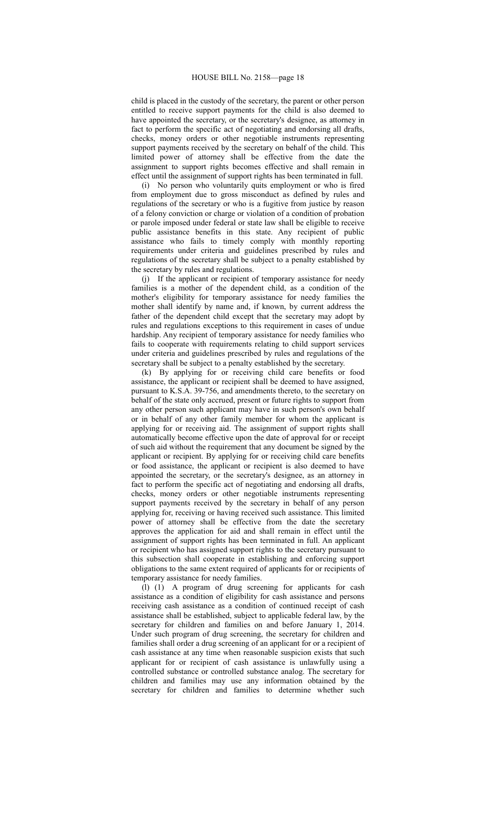child is placed in the custody of the secretary, the parent or other person entitled to receive support payments for the child is also deemed to have appointed the secretary, or the secretary's designee, as attorney in fact to perform the specific act of negotiating and endorsing all drafts, checks, money orders or other negotiable instruments representing support payments received by the secretary on behalf of the child. This limited power of attorney shall be effective from the date the assignment to support rights becomes effective and shall remain in effect until the assignment of support rights has been terminated in full.

(i) No person who voluntarily quits employment or who is fired from employment due to gross misconduct as defined by rules and regulations of the secretary or who is a fugitive from justice by reason of a felony conviction or charge or violation of a condition of probation or parole imposed under federal or state law shall be eligible to receive public assistance benefits in this state. Any recipient of public assistance who fails to timely comply with monthly reporting requirements under criteria and guidelines prescribed by rules and regulations of the secretary shall be subject to a penalty established by the secretary by rules and regulations.

(j) If the applicant or recipient of temporary assistance for needy families is a mother of the dependent child, as a condition of the mother's eligibility for temporary assistance for needy families the mother shall identify by name and, if known, by current address the father of the dependent child except that the secretary may adopt by rules and regulations exceptions to this requirement in cases of undue hardship. Any recipient of temporary assistance for needy families who fails to cooperate with requirements relating to child support services under criteria and guidelines prescribed by rules and regulations of the secretary shall be subject to a penalty established by the secretary.

(k) By applying for or receiving child care benefits or food assistance, the applicant or recipient shall be deemed to have assigned, pursuant to K.S.A. 39-756, and amendments thereto, to the secretary on behalf of the state only accrued, present or future rights to support from any other person such applicant may have in such person's own behalf or in behalf of any other family member for whom the applicant is applying for or receiving aid. The assignment of support rights shall automatically become effective upon the date of approval for or receipt of such aid without the requirement that any document be signed by the applicant or recipient. By applying for or receiving child care benefits or food assistance, the applicant or recipient is also deemed to have appointed the secretary, or the secretary's designee, as an attorney in fact to perform the specific act of negotiating and endorsing all drafts, checks, money orders or other negotiable instruments representing support payments received by the secretary in behalf of any person applying for, receiving or having received such assistance. This limited power of attorney shall be effective from the date the secretary approves the application for aid and shall remain in effect until the assignment of support rights has been terminated in full. An applicant or recipient who has assigned support rights to the secretary pursuant to this subsection shall cooperate in establishing and enforcing support obligations to the same extent required of applicants for or recipients of temporary assistance for needy families.

(l) (1) A program of drug screening for applicants for cash assistance as a condition of eligibility for cash assistance and persons receiving cash assistance as a condition of continued receipt of cash assistance shall be established, subject to applicable federal law, by the secretary for children and families on and before January 1, 2014. Under such program of drug screening, the secretary for children and families shall order a drug screening of an applicant for or a recipient of cash assistance at any time when reasonable suspicion exists that such applicant for or recipient of cash assistance is unlawfully using a controlled substance or controlled substance analog. The secretary for children and families may use any information obtained by the secretary for children and families to determine whether such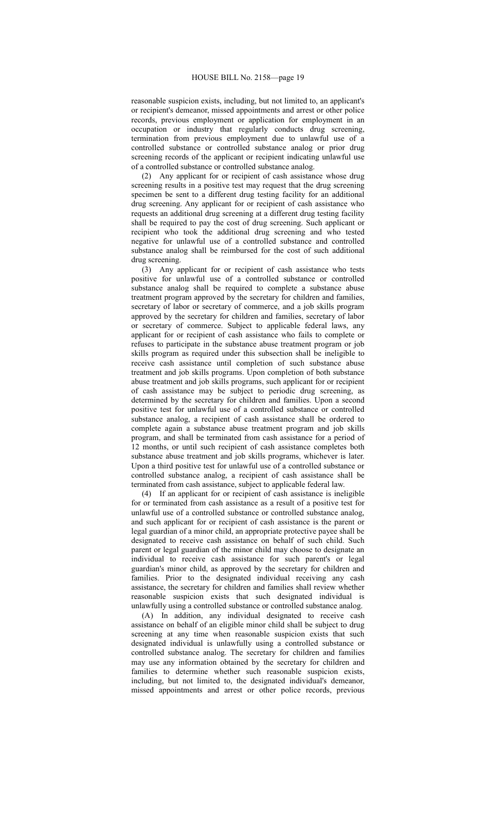reasonable suspicion exists, including, but not limited to, an applicant's or recipient's demeanor, missed appointments and arrest or other police records, previous employment or application for employment in an occupation or industry that regularly conducts drug screening, termination from previous employment due to unlawful use of a controlled substance or controlled substance analog or prior drug screening records of the applicant or recipient indicating unlawful use of a controlled substance or controlled substance analog.

(2) Any applicant for or recipient of cash assistance whose drug screening results in a positive test may request that the drug screening specimen be sent to a different drug testing facility for an additional drug screening. Any applicant for or recipient of cash assistance who requests an additional drug screening at a different drug testing facility shall be required to pay the cost of drug screening. Such applicant or recipient who took the additional drug screening and who tested negative for unlawful use of a controlled substance and controlled substance analog shall be reimbursed for the cost of such additional drug screening.

(3) Any applicant for or recipient of cash assistance who tests positive for unlawful use of a controlled substance or controlled substance analog shall be required to complete a substance abuse treatment program approved by the secretary for children and families, secretary of labor or secretary of commerce, and a job skills program approved by the secretary for children and families, secretary of labor or secretary of commerce. Subject to applicable federal laws, any applicant for or recipient of cash assistance who fails to complete or refuses to participate in the substance abuse treatment program or job skills program as required under this subsection shall be ineligible to receive cash assistance until completion of such substance abuse treatment and job skills programs. Upon completion of both substance abuse treatment and job skills programs, such applicant for or recipient of cash assistance may be subject to periodic drug screening, as determined by the secretary for children and families. Upon a second positive test for unlawful use of a controlled substance or controlled substance analog, a recipient of cash assistance shall be ordered to complete again a substance abuse treatment program and job skills program, and shall be terminated from cash assistance for a period of 12 months, or until such recipient of cash assistance completes both substance abuse treatment and job skills programs, whichever is later. Upon a third positive test for unlawful use of a controlled substance or controlled substance analog, a recipient of cash assistance shall be terminated from cash assistance, subject to applicable federal law.

(4) If an applicant for or recipient of cash assistance is ineligible for or terminated from cash assistance as a result of a positive test for unlawful use of a controlled substance or controlled substance analog, and such applicant for or recipient of cash assistance is the parent or legal guardian of a minor child, an appropriate protective payee shall be designated to receive cash assistance on behalf of such child. Such parent or legal guardian of the minor child may choose to designate an individual to receive cash assistance for such parent's or legal guardian's minor child, as approved by the secretary for children and families. Prior to the designated individual receiving any cash assistance, the secretary for children and families shall review whether reasonable suspicion exists that such designated individual is unlawfully using a controlled substance or controlled substance analog.

(A) In addition, any individual designated to receive cash assistance on behalf of an eligible minor child shall be subject to drug screening at any time when reasonable suspicion exists that such designated individual is unlawfully using a controlled substance or controlled substance analog. The secretary for children and families may use any information obtained by the secretary for children and families to determine whether such reasonable suspicion exists, including, but not limited to, the designated individual's demeanor, missed appointments and arrest or other police records, previous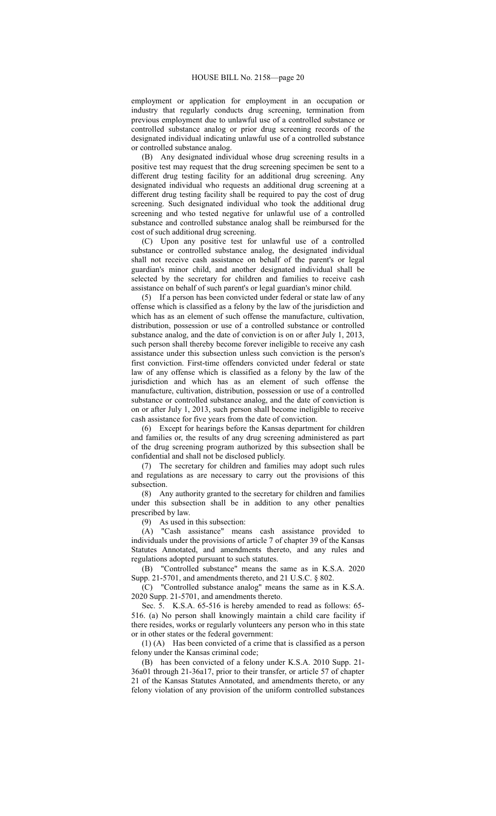employment or application for employment in an occupation or industry that regularly conducts drug screening, termination from previous employment due to unlawful use of a controlled substance or controlled substance analog or prior drug screening records of the designated individual indicating unlawful use of a controlled substance or controlled substance analog.

(B) Any designated individual whose drug screening results in a positive test may request that the drug screening specimen be sent to a different drug testing facility for an additional drug screening. Any designated individual who requests an additional drug screening at a different drug testing facility shall be required to pay the cost of drug screening. Such designated individual who took the additional drug screening and who tested negative for unlawful use of a controlled substance and controlled substance analog shall be reimbursed for the cost of such additional drug screening.

(C) Upon any positive test for unlawful use of a controlled substance or controlled substance analog, the designated individual shall not receive cash assistance on behalf of the parent's or legal guardian's minor child, and another designated individual shall be selected by the secretary for children and families to receive cash assistance on behalf of such parent's or legal guardian's minor child.

(5) If a person has been convicted under federal or state law of any offense which is classified as a felony by the law of the jurisdiction and which has as an element of such offense the manufacture, cultivation, distribution, possession or use of a controlled substance or controlled substance analog, and the date of conviction is on or after July 1, 2013, such person shall thereby become forever ineligible to receive any cash assistance under this subsection unless such conviction is the person's first conviction. First-time offenders convicted under federal or state law of any offense which is classified as a felony by the law of the jurisdiction and which has as an element of such offense the manufacture, cultivation, distribution, possession or use of a controlled substance or controlled substance analog, and the date of conviction is on or after July 1, 2013, such person shall become ineligible to receive cash assistance for five years from the date of conviction.

(6) Except for hearings before the Kansas department for children and families or, the results of any drug screening administered as part of the drug screening program authorized by this subsection shall be confidential and shall not be disclosed publicly.

(7) The secretary for children and families may adopt such rules and regulations as are necessary to carry out the provisions of this subsection.

(8) Any authority granted to the secretary for children and families under this subsection shall be in addition to any other penalties prescribed by law.

(9) As used in this subsection:

(A) "Cash assistance" means cash assistance provided to individuals under the provisions of article 7 of chapter 39 of the Kansas Statutes Annotated, and amendments thereto, and any rules and regulations adopted pursuant to such statutes.

(B) "Controlled substance" means the same as in K.S.A. 2020 Supp. 21-5701, and amendments thereto, and 21 U.S.C. § 802.

(C) "Controlled substance analog" means the same as in K.S.A. 2020 Supp. 21-5701, and amendments thereto.

Sec. 5. K.S.A. 65-516 is hereby amended to read as follows: 65- 516. (a) No person shall knowingly maintain a child care facility if there resides, works or regularly volunteers any person who in this state or in other states or the federal government:

(1) (A) Has been convicted of a crime that is classified as a person felony under the Kansas criminal code;

(B) has been convicted of a felony under K.S.A. 2010 Supp. 21- 36a01 through 21-36a17, prior to their transfer, or article 57 of chapter 21 of the Kansas Statutes Annotated, and amendments thereto, or any felony violation of any provision of the uniform controlled substances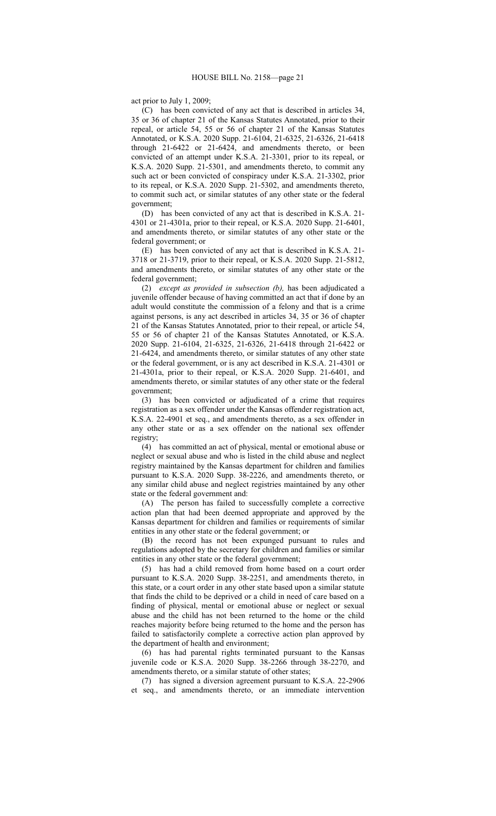act prior to July 1, 2009;

(C) has been convicted of any act that is described in articles 34, 35 or 36 of chapter 21 of the Kansas Statutes Annotated, prior to their repeal, or article 54, 55 or 56 of chapter 21 of the Kansas Statutes Annotated, or K.S.A. 2020 Supp. 21-6104, 21-6325, 21-6326, 21-6418 through 21-6422 or 21-6424, and amendments thereto, or been convicted of an attempt under K.S.A. 21-3301, prior to its repeal, or K.S.A. 2020 Supp. 21-5301, and amendments thereto, to commit any such act or been convicted of conspiracy under K.S.A. 21-3302, prior to its repeal, or K.S.A. 2020 Supp. 21-5302, and amendments thereto, to commit such act, or similar statutes of any other state or the federal government;

(D) has been convicted of any act that is described in K.S.A. 21- 4301 or 21-4301a, prior to their repeal, or K.S.A. 2020 Supp. 21-6401, and amendments thereto, or similar statutes of any other state or the federal government; or

(E) has been convicted of any act that is described in K.S.A. 21- 3718 or 21-3719, prior to their repeal, or K.S.A. 2020 Supp. 21-5812, and amendments thereto, or similar statutes of any other state or the federal government;

(2) *except as provided in subsection (b),* has been adjudicated a juvenile offender because of having committed an act that if done by an adult would constitute the commission of a felony and that is a crime against persons, is any act described in articles 34, 35 or 36 of chapter 21 of the Kansas Statutes Annotated, prior to their repeal, or article 54, 55 or 56 of chapter 21 of the Kansas Statutes Annotated, or K.S.A. 2020 Supp. 21-6104, 21-6325, 21-6326, 21-6418 through 21-6422 or 21-6424, and amendments thereto, or similar statutes of any other state or the federal government, or is any act described in K.S.A. 21-4301 or 21-4301a, prior to their repeal, or K.S.A. 2020 Supp. 21-6401, and amendments thereto, or similar statutes of any other state or the federal government;

(3) has been convicted or adjudicated of a crime that requires registration as a sex offender under the Kansas offender registration act, K.S.A. 22-4901 et seq., and amendments thereto, as a sex offender in any other state or as a sex offender on the national sex offender registry;

(4) has committed an act of physical, mental or emotional abuse or neglect or sexual abuse and who is listed in the child abuse and neglect registry maintained by the Kansas department for children and families pursuant to K.S.A. 2020 Supp. 38-2226, and amendments thereto, or any similar child abuse and neglect registries maintained by any other state or the federal government and:

(A) The person has failed to successfully complete a corrective action plan that had been deemed appropriate and approved by the Kansas department for children and families or requirements of similar entities in any other state or the federal government; or

(B) the record has not been expunged pursuant to rules and regulations adopted by the secretary for children and families or similar entities in any other state or the federal government;

(5) has had a child removed from home based on a court order pursuant to K.S.A. 2020 Supp. 38-2251, and amendments thereto, in this state, or a court order in any other state based upon a similar statute that finds the child to be deprived or a child in need of care based on a finding of physical, mental or emotional abuse or neglect or sexual abuse and the child has not been returned to the home or the child reaches majority before being returned to the home and the person has failed to satisfactorily complete a corrective action plan approved by the department of health and environment;

(6) has had parental rights terminated pursuant to the Kansas juvenile code or K.S.A. 2020 Supp. 38-2266 through 38-2270, and amendments thereto, or a similar statute of other states;

(7) has signed a diversion agreement pursuant to K.S.A. 22-2906 et seq., and amendments thereto, or an immediate intervention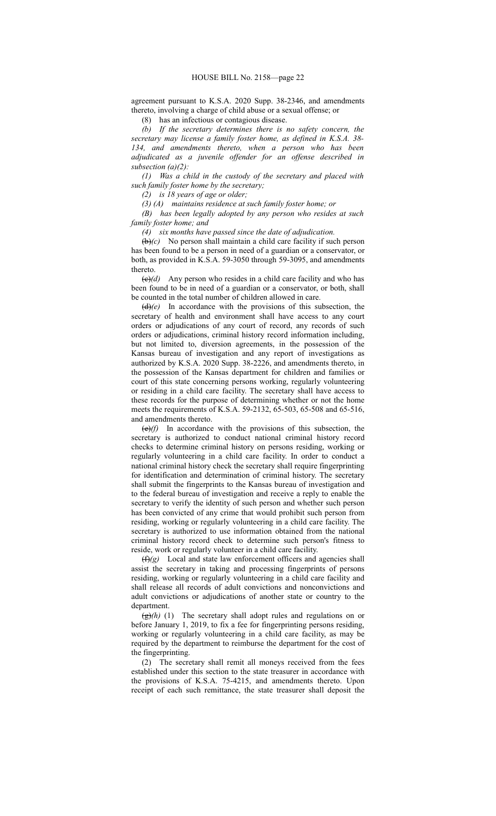agreement pursuant to K.S.A. 2020 Supp. 38-2346, and amendments thereto, involving a charge of child abuse or a sexual offense; or

(8) has an infectious or contagious disease.

*(b) If the secretary determines there is no safety concern, the secretary may license a family foster home, as defined in K.S.A. 38- 134, and amendments thereto, when a person who has been adjudicated as a juvenile offender for an offense described in subsection (a)(2):*

*(1) Was a child in the custody of the secretary and placed with such family foster home by the secretary;*

*(2) is 18 years of age or older;*

*(3) (A) maintains residence at such family foster home; or*

*(B) has been legally adopted by any person who resides at such family foster home; and* 

*(4) six months have passed since the date of adjudication.*

(b)*(c)* No person shall maintain a child care facility if such person has been found to be a person in need of a guardian or a conservator, or both, as provided in K.S.A. 59-3050 through 59-3095, and amendments thereto.

 $\left(\frac{e}{e}\right)$  Any person who resides in a child care facility and who has been found to be in need of a guardian or a conservator, or both, shall be counted in the total number of children allowed in care.

(d)*(e)* In accordance with the provisions of this subsection, the secretary of health and environment shall have access to any court orders or adjudications of any court of record, any records of such orders or adjudications, criminal history record information including, but not limited to, diversion agreements, in the possession of the Kansas bureau of investigation and any report of investigations as authorized by K.S.A. 2020 Supp. 38-2226, and amendments thereto, in the possession of the Kansas department for children and families or court of this state concerning persons working, regularly volunteering or residing in a child care facility. The secretary shall have access to these records for the purpose of determining whether or not the home meets the requirements of K.S.A. 59-2132, 65-503, 65-508 and 65-516, and amendments thereto.

(e)*(f)* In accordance with the provisions of this subsection, the secretary is authorized to conduct national criminal history record checks to determine criminal history on persons residing, working or regularly volunteering in a child care facility. In order to conduct a national criminal history check the secretary shall require fingerprinting for identification and determination of criminal history. The secretary shall submit the fingerprints to the Kansas bureau of investigation and to the federal bureau of investigation and receive a reply to enable the secretary to verify the identity of such person and whether such person has been convicted of any crime that would prohibit such person from residing, working or regularly volunteering in a child care facility. The secretary is authorized to use information obtained from the national criminal history record check to determine such person's fitness to reside, work or regularly volunteer in a child care facility.

 $(f)(g)$  Local and state law enforcement officers and agencies shall assist the secretary in taking and processing fingerprints of persons residing, working or regularly volunteering in a child care facility and shall release all records of adult convictions and nonconvictions and adult convictions or adjudications of another state or country to the department.

 $(g)(h)$  (1) The secretary shall adopt rules and regulations on or before January 1, 2019, to fix a fee for fingerprinting persons residing, working or regularly volunteering in a child care facility, as may be required by the department to reimburse the department for the cost of the fingerprinting.

(2) The secretary shall remit all moneys received from the fees established under this section to the state treasurer in accordance with the provisions of K.S.A. 75-4215, and amendments thereto. Upon receipt of each such remittance, the state treasurer shall deposit the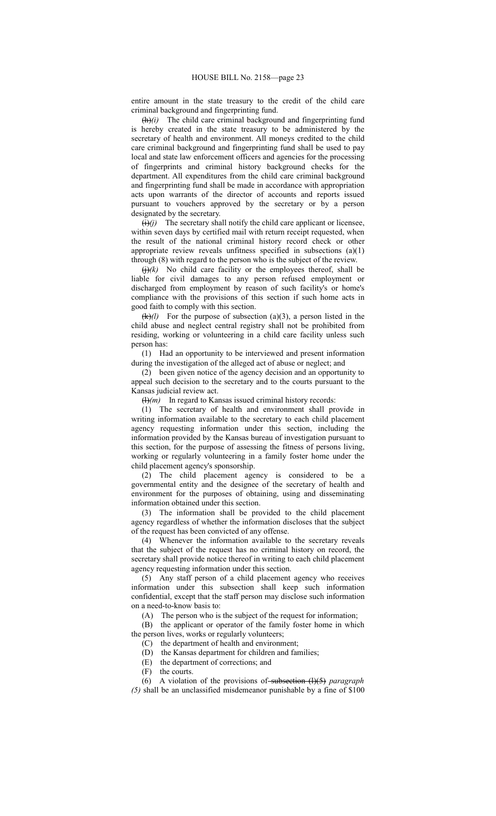entire amount in the state treasury to the credit of the child care criminal background and fingerprinting fund.

(h)*(i)* The child care criminal background and fingerprinting fund is hereby created in the state treasury to be administered by the secretary of health and environment. All moneys credited to the child care criminal background and fingerprinting fund shall be used to pay local and state law enforcement officers and agencies for the processing of fingerprints and criminal history background checks for the department. All expenditures from the child care criminal background and fingerprinting fund shall be made in accordance with appropriation acts upon warrants of the director of accounts and reports issued pursuant to vouchers approved by the secretary or by a person designated by the secretary.

 $(i)(j)$  The secretary shall notify the child care applicant or licensee, within seven days by certified mail with return receipt requested, when the result of the national criminal history record check or other appropriate review reveals unfitness specified in subsections (a)(1) through (8) with regard to the person who is the subject of the review.

 $\left(\frac{1}{i}\right)$  (k) No child care facility or the employees thereof, shall be liable for civil damages to any person refused employment or discharged from employment by reason of such facility's or home's compliance with the provisions of this section if such home acts in good faith to comply with this section.

 $(k)/l$  For the purpose of subsection (a)(3), a person listed in the child abuse and neglect central registry shall not be prohibited from residing, working or volunteering in a child care facility unless such person has:

(1) Had an opportunity to be interviewed and present information during the investigation of the alleged act of abuse or neglect; and

(2) been given notice of the agency decision and an opportunity to appeal such decision to the secretary and to the courts pursuant to the Kansas judicial review act.

 $(H)(m)$  In regard to Kansas issued criminal history records:

(1) The secretary of health and environment shall provide in writing information available to the secretary to each child placement agency requesting information under this section, including the information provided by the Kansas bureau of investigation pursuant to this section, for the purpose of assessing the fitness of persons living, working or regularly volunteering in a family foster home under the child placement agency's sponsorship.

(2) The child placement agency is considered to be a governmental entity and the designee of the secretary of health and environment for the purposes of obtaining, using and disseminating information obtained under this section.

(3) The information shall be provided to the child placement agency regardless of whether the information discloses that the subject of the request has been convicted of any offense.

(4) Whenever the information available to the secretary reveals that the subject of the request has no criminal history on record, the secretary shall provide notice thereof in writing to each child placement agency requesting information under this section.

(5) Any staff person of a child placement agency who receives information under this subsection shall keep such information confidential, except that the staff person may disclose such information on a need-to-know basis to:

(A) The person who is the subject of the request for information;

(B) the applicant or operator of the family foster home in which the person lives, works or regularly volunteers;

(C) the department of health and environment;

(D) the Kansas department for children and families;

(E) the department of corrections; and

(F) the courts.

(6) A violation of the provisions of subsection (l)(5) *paragraph (5)* shall be an unclassified misdemeanor punishable by a fine of \$100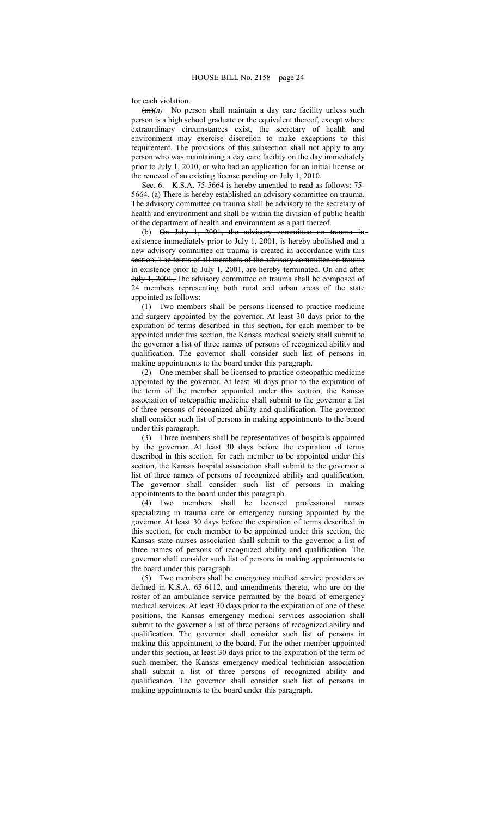for each violation.

(m)*(n)* No person shall maintain a day care facility unless such person is a high school graduate or the equivalent thereof, except where extraordinary circumstances exist, the secretary of health and environment may exercise discretion to make exceptions to this requirement. The provisions of this subsection shall not apply to any person who was maintaining a day care facility on the day immediately prior to July 1, 2010, or who had an application for an initial license or the renewal of an existing license pending on July 1, 2010.

Sec. 6. K.S.A. 75-5664 is hereby amended to read as follows: 75- 5664. (a) There is hereby established an advisory committee on trauma. The advisory committee on trauma shall be advisory to the secretary of health and environment and shall be within the division of public health of the department of health and environment as a part thereof.

(b) On July 1, 2001, the advisory committee on trauma inexistence immediately prior to July 1, 2001, is hereby abolished and a new advisory committee on trauma is created in accordance with this section. The terms of all members of the advisory committee on trauma in existence prior to July 1, 2001, are hereby terminated. On and after July 1, 2001, The advisory committee on trauma shall be composed of 24 members representing both rural and urban areas of the state appointed as follows:

(1) Two members shall be persons licensed to practice medicine and surgery appointed by the governor. At least 30 days prior to the expiration of terms described in this section, for each member to be appointed under this section, the Kansas medical society shall submit to the governor a list of three names of persons of recognized ability and qualification. The governor shall consider such list of persons in making appointments to the board under this paragraph.

(2) One member shall be licensed to practice osteopathic medicine appointed by the governor. At least 30 days prior to the expiration of the term of the member appointed under this section, the Kansas association of osteopathic medicine shall submit to the governor a list of three persons of recognized ability and qualification. The governor shall consider such list of persons in making appointments to the board under this paragraph.

(3) Three members shall be representatives of hospitals appointed by the governor. At least 30 days before the expiration of terms described in this section, for each member to be appointed under this section, the Kansas hospital association shall submit to the governor a list of three names of persons of recognized ability and qualification. The governor shall consider such list of persons in making appointments to the board under this paragraph.

(4) Two members shall be licensed professional nurses specializing in trauma care or emergency nursing appointed by the governor. At least 30 days before the expiration of terms described in this section, for each member to be appointed under this section, the Kansas state nurses association shall submit to the governor a list of three names of persons of recognized ability and qualification. The governor shall consider such list of persons in making appointments to the board under this paragraph.

(5) Two members shall be emergency medical service providers as defined in K.S.A. 65-6112, and amendments thereto, who are on the roster of an ambulance service permitted by the board of emergency medical services. At least 30 days prior to the expiration of one of these positions, the Kansas emergency medical services association shall submit to the governor a list of three persons of recognized ability and qualification. The governor shall consider such list of persons in making this appointment to the board. For the other member appointed under this section, at least 30 days prior to the expiration of the term of such member, the Kansas emergency medical technician association shall submit a list of three persons of recognized ability and qualification. The governor shall consider such list of persons in making appointments to the board under this paragraph.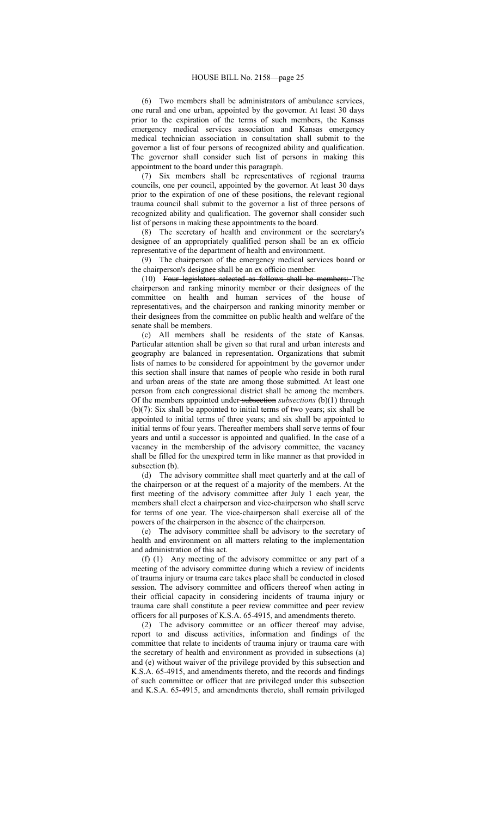(6) Two members shall be administrators of ambulance services, one rural and one urban, appointed by the governor. At least 30 days prior to the expiration of the terms of such members, the Kansas emergency medical services association and Kansas emergency medical technician association in consultation shall submit to the governor a list of four persons of recognized ability and qualification. The governor shall consider such list of persons in making this appointment to the board under this paragraph.

(7) Six members shall be representatives of regional trauma councils, one per council, appointed by the governor. At least 30 days prior to the expiration of one of these positions, the relevant regional trauma council shall submit to the governor a list of three persons of recognized ability and qualification. The governor shall consider such list of persons in making these appointments to the board.

(8) The secretary of health and environment or the secretary's designee of an appropriately qualified person shall be an ex officio representative of the department of health and environment.

(9) The chairperson of the emergency medical services board or the chairperson's designee shall be an ex officio member.

(10) Four legislators selected as follows shall be members: The chairperson and ranking minority member or their designees of the committee on health and human services of the house of representatives, and the chairperson and ranking minority member or their designees from the committee on public health and welfare of the senate shall be members.

(c) All members shall be residents of the state of Kansas. Particular attention shall be given so that rural and urban interests and geography are balanced in representation. Organizations that submit lists of names to be considered for appointment by the governor under this section shall insure that names of people who reside in both rural and urban areas of the state are among those submitted. At least one person from each congressional district shall be among the members. Of the members appointed under subsection *subsections* (b)(1) through (b)(7): Six shall be appointed to initial terms of two years; six shall be appointed to initial terms of three years; and six shall be appointed to initial terms of four years. Thereafter members shall serve terms of four years and until a successor is appointed and qualified. In the case of a vacancy in the membership of the advisory committee, the vacancy shall be filled for the unexpired term in like manner as that provided in subsection (b).

(d) The advisory committee shall meet quarterly and at the call of the chairperson or at the request of a majority of the members. At the first meeting of the advisory committee after July 1 each year, the members shall elect a chairperson and vice-chairperson who shall serve for terms of one year. The vice-chairperson shall exercise all of the powers of the chairperson in the absence of the chairperson.

(e) The advisory committee shall be advisory to the secretary of health and environment on all matters relating to the implementation and administration of this act.

(f) (1) Any meeting of the advisory committee or any part of a meeting of the advisory committee during which a review of incidents of trauma injury or trauma care takes place shall be conducted in closed session. The advisory committee and officers thereof when acting in their official capacity in considering incidents of trauma injury or trauma care shall constitute a peer review committee and peer review officers for all purposes of K.S.A. 65-4915, and amendments thereto.

(2) The advisory committee or an officer thereof may advise, report to and discuss activities, information and findings of the committee that relate to incidents of trauma injury or trauma care with the secretary of health and environment as provided in subsections (a) and (e) without waiver of the privilege provided by this subsection and K.S.A. 65-4915, and amendments thereto, and the records and findings of such committee or officer that are privileged under this subsection and K.S.A. 65-4915, and amendments thereto, shall remain privileged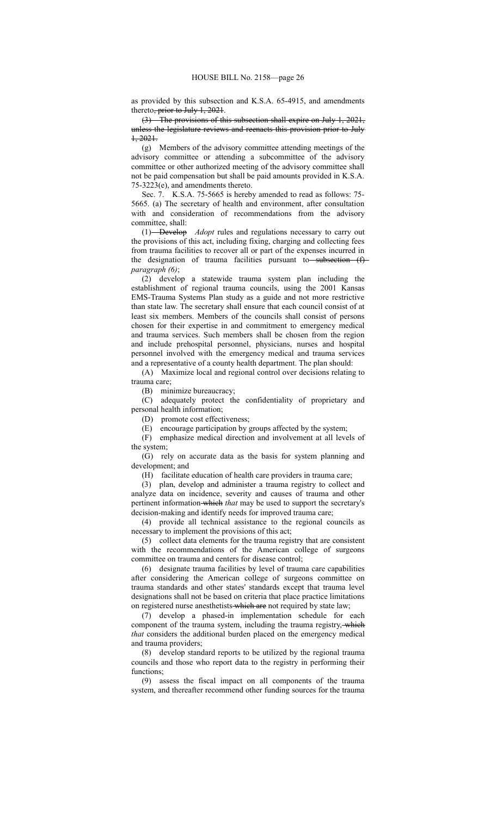as provided by this subsection and K.S.A. 65-4915, and amendments thereto<del>, prior to July 1, 2021</del>.

(3) The provisions of this subsection shall expire on July 1, 2021, unless the legislature reviews and reenacts this provision prior to July 1, 2021.

(g) Members of the advisory committee attending meetings of the advisory committee or attending a subcommittee of the advisory committee or other authorized meeting of the advisory committee shall not be paid compensation but shall be paid amounts provided in K.S.A. 75-3223(e), and amendments thereto.

Sec. 7. K.S.A. 75-5665 is hereby amended to read as follows: 75- 5665. (a) The secretary of health and environment, after consultation with and consideration of recommendations from the advisory committee, shall:

(1) Develop *Adopt* rules and regulations necessary to carry out the provisions of this act, including fixing, charging and collecting fees from trauma facilities to recover all or part of the expenses incurred in the designation of trauma facilities pursuant to subsection  $(f)$ *paragraph (6)*;

(2) develop a statewide trauma system plan including the establishment of regional trauma councils, using the 2001 Kansas EMS-Trauma Systems Plan study as a guide and not more restrictive than state law. The secretary shall ensure that each council consist of at least six members. Members of the councils shall consist of persons chosen for their expertise in and commitment to emergency medical and trauma services. Such members shall be chosen from the region and include prehospital personnel, physicians, nurses and hospital personnel involved with the emergency medical and trauma services and a representative of a county health department. The plan should:

(A) Maximize local and regional control over decisions relating to trauma care;

(B) minimize bureaucracy;

(C) adequately protect the confidentiality of proprietary and personal health information;

(D) promote cost effectiveness;

(E) encourage participation by groups affected by the system;

(F) emphasize medical direction and involvement at all levels of the system;

(G) rely on accurate data as the basis for system planning and development; and

(H) facilitate education of health care providers in trauma care;

(3) plan, develop and administer a trauma registry to collect and analyze data on incidence, severity and causes of trauma and other pertinent information which *that* may be used to support the secretary's decision-making and identify needs for improved trauma care;

(4) provide all technical assistance to the regional councils as necessary to implement the provisions of this act;

(5) collect data elements for the trauma registry that are consistent with the recommendations of the American college of surgeons committee on trauma and centers for disease control;

(6) designate trauma facilities by level of trauma care capabilities after considering the American college of surgeons committee on trauma standards and other states' standards except that trauma level designations shall not be based on criteria that place practice limitations on registered nurse anesthetists-which are not required by state law;

(7) develop a phased-in implementation schedule for each component of the trauma system, including the trauma registry, which *that* considers the additional burden placed on the emergency medical and trauma providers;

(8) develop standard reports to be utilized by the regional trauma councils and those who report data to the registry in performing their functions;

(9) assess the fiscal impact on all components of the trauma system, and thereafter recommend other funding sources for the trauma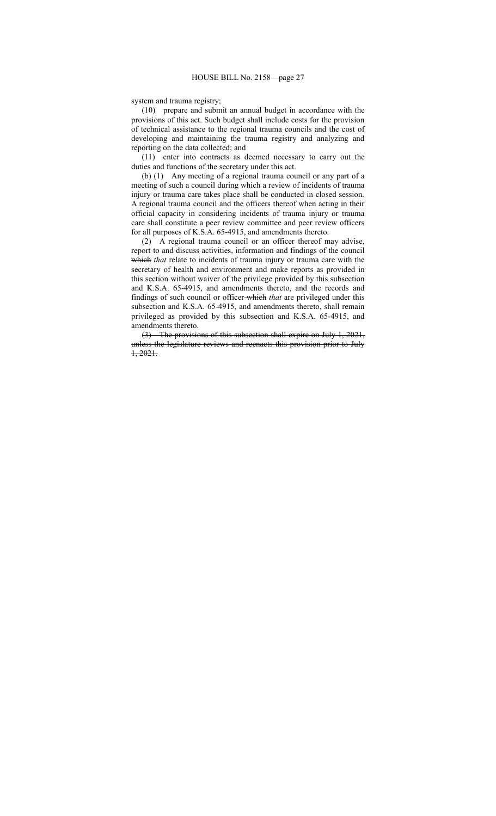system and trauma registry;

(10) prepare and submit an annual budget in accordance with the provisions of this act. Such budget shall include costs for the provision of technical assistance to the regional trauma councils and the cost of developing and maintaining the trauma registry and analyzing and reporting on the data collected; and

(11) enter into contracts as deemed necessary to carry out the duties and functions of the secretary under this act.

(b) (1) Any meeting of a regional trauma council or any part of a meeting of such a council during which a review of incidents of trauma injury or trauma care takes place shall be conducted in closed session. A regional trauma council and the officers thereof when acting in their official capacity in considering incidents of trauma injury or trauma care shall constitute a peer review committee and peer review officers for all purposes of K.S.A. 65-4915, and amendments thereto.

(2) A regional trauma council or an officer thereof may advise, report to and discuss activities, information and findings of the council which *that* relate to incidents of trauma injury or trauma care with the secretary of health and environment and make reports as provided in this section without waiver of the privilege provided by this subsection and K.S.A. 65-4915, and amendments thereto, and the records and findings of such council or officer which *that* are privileged under this subsection and K.S.A. 65-4915, and amendments thereto, shall remain privileged as provided by this subsection and K.S.A. 65-4915, and amendments thereto.

(3) The provisions of this subsection shall expire on July 1, 2021, unless the legislature reviews and reenacts this provision prior to July 1, 2021.